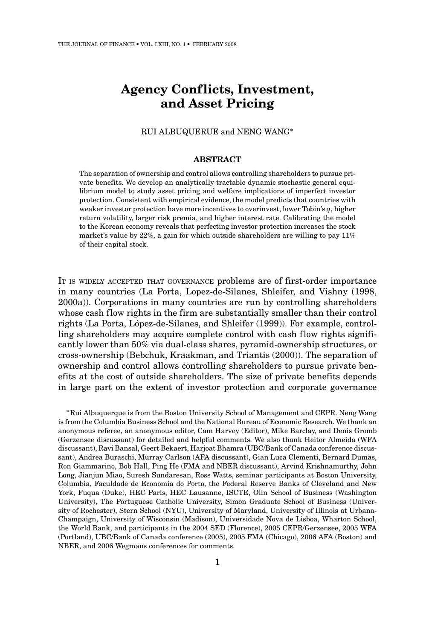# **Agency Conflicts, Investment, and Asset Pricing**

## RUI ALBUQUERUE and NENG WANG<sup>∗</sup>

#### **ABSTRACT**

The separation of ownership and control allows controlling shareholders to pursue private benefits. We develop an analytically tractable dynamic stochastic general equilibrium model to study asset pricing and welfare implications of imperfect investor protection. Consistent with empirical evidence, the model predicts that countries with weaker investor protection have more incentives to overinvest, lower Tobin's *q*, higher return volatility, larger risk premia, and higher interest rate. Calibrating the model to the Korean economy reveals that perfecting investor protection increases the stock market's value by 22%, a gain for which outside shareholders are willing to pay 11% of their capital stock.

IT IS WIDELY ACCEPTED THAT GOVERNANCE problems are of first-order importance in many countries (La Porta, Lopez-de-Silanes, Shleifer, and Vishny (1998, 2000a)). Corporations in many countries are run by controlling shareholders whose cash flow rights in the firm are substantially smaller than their control rights (La Porta, Lopez-de-Silanes, and Shleifer (1999)). For example, control- ´ ling shareholders may acquire complete control with cash flow rights significantly lower than 50% via dual-class shares, pyramid-ownership structures, or cross-ownership (Bebchuk, Kraakman, and Triantis (2000)). The separation of ownership and control allows controlling shareholders to pursue private benefits at the cost of outside shareholders. The size of private benefits depends in large part on the extent of investor protection and corporate governance

<sup>∗</sup>Rui Albuquerque is from the Boston University School of Management and CEPR. Neng Wang is from the Columbia Business School and the National Bureau of Economic Research. We thank an anonymous referee, an anonymous editor, Cam Harvey (Editor), Mike Barclay, and Denis Gromb (Gerzensee discussant) for detailed and helpful comments. We also thank Heitor Almeida (WFA discussant), Ravi Bansal, Geert Bekaert, Harjoat Bhamra (UBC/Bank of Canada conference discussant), Andrea Buraschi, Murray Carlson (AFA discussant), Gian Luca Clementi, Bernard Dumas, Ron Giammarino, Bob Hall, Ping He (FMA and NBER discussant), Arvind Krishnamurthy, John Long, Jianjun Miao, Suresh Sundaresan, Ross Watts, seminar participants at Boston University, Columbia, Faculdade de Economia do Porto, the Federal Reserve Banks of Cleveland and New York, Fuqua (Duke), HEC Paris, HEC Lausanne, ISCTE, Olin School of Business (Washington University), The Portuguese Catholic University, Simon Graduate School of Business (University of Rochester), Stern School (NYU), University of Maryland, University of Illinois at Urbana-Champaign, University of Wisconsin (Madison), Universidade Nova de Lisboa, Wharton School, the World Bank, and participants in the 2004 SED (Florence), 2005 CEPR/Gerzensee, 2005 WFA (Portland), UBC/Bank of Canada conference (2005), 2005 FMA (Chicago), 2006 AFA (Boston) and NBER, and 2006 Wegmans conferences for comments.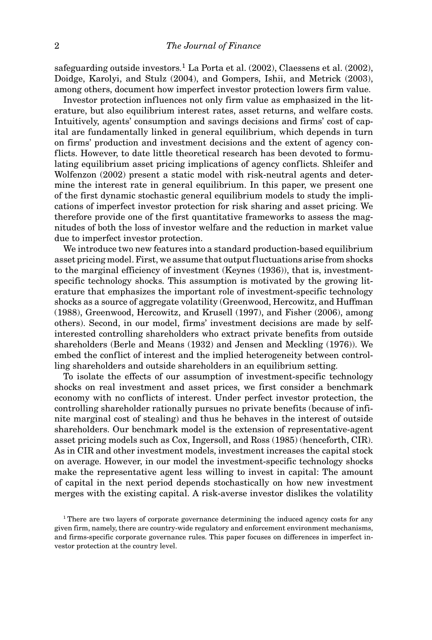safeguarding outside investors.<sup>1</sup> La Porta et al.  $(2002)$ , Claessens et al.  $(2002)$ , Doidge, Karolyi, and Stulz (2004), and Gompers, Ishii, and Metrick (2003), among others, document how imperfect investor protection lowers firm value.

Investor protection influences not only firm value as emphasized in the literature, but also equilibrium interest rates, asset returns, and welfare costs. Intuitively, agents' consumption and savings decisions and firms' cost of capital are fundamentally linked in general equilibrium, which depends in turn on firms' production and investment decisions and the extent of agency conflicts. However, to date little theoretical research has been devoted to formulating equilibrium asset pricing implications of agency conflicts. Shleifer and Wolfenzon (2002) present a static model with risk-neutral agents and determine the interest rate in general equilibrium. In this paper, we present one of the first dynamic stochastic general equilibrium models to study the implications of imperfect investor protection for risk sharing and asset pricing. We therefore provide one of the first quantitative frameworks to assess the magnitudes of both the loss of investor welfare and the reduction in market value due to imperfect investor protection.

We introduce two new features into a standard production-based equilibrium asset pricing model. First, we assume that output fluctuations arise from shocks to the marginal efficiency of investment (Keynes (1936)), that is, investmentspecific technology shocks. This assumption is motivated by the growing literature that emphasizes the important role of investment-specific technology shocks as a source of aggregate volatility (Greenwood, Hercowitz, and Huffman (1988), Greenwood, Hercowitz, and Krusell (1997), and Fisher (2006), among others). Second, in our model, firms' investment decisions are made by selfinterested controlling shareholders who extract private benefits from outside shareholders (Berle and Means (1932) and Jensen and Meckling (1976)). We embed the conflict of interest and the implied heterogeneity between controlling shareholders and outside shareholders in an equilibrium setting.

To isolate the effects of our assumption of investment-specific technology shocks on real investment and asset prices, we first consider a benchmark economy with no conflicts of interest. Under perfect investor protection, the controlling shareholder rationally pursues no private benefits (because of infinite marginal cost of stealing) and thus he behaves in the interest of outside shareholders. Our benchmark model is the extension of representative-agent asset pricing models such as Cox, Ingersoll, and Ross (1985) (henceforth, CIR). As in CIR and other investment models, investment increases the capital stock on average. However, in our model the investment-specific technology shocks make the representative agent less willing to invest in capital: The amount of capital in the next period depends stochastically on how new investment merges with the existing capital. A risk-averse investor dislikes the volatility

<sup>&</sup>lt;sup>1</sup> There are two layers of corporate governance determining the induced agency costs for any given firm, namely, there are country-wide regulatory and enforcement environment mechanisms, and firms-specific corporate governance rules. This paper focuses on differences in imperfect investor protection at the country level.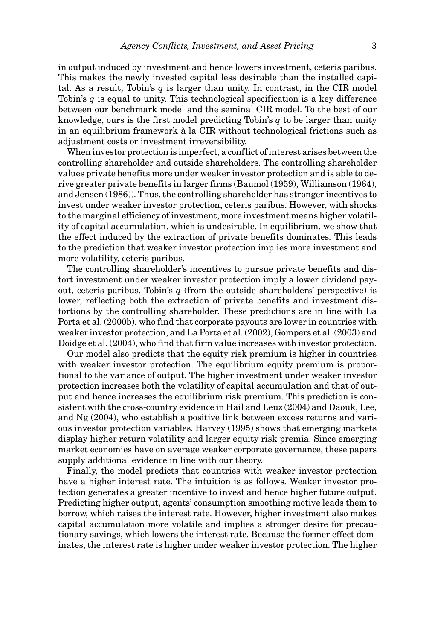in output induced by investment and hence lowers investment, ceteris paribus. This makes the newly invested capital less desirable than the installed capital. As a result, Tobin's  $q$  is larger than unity. In contrast, in the CIR model Tobin's *q* is equal to unity. This technological specification is a key difference between our benchmark model and the seminal CIR model. To the best of our knowledge, ours is the first model predicting Tobin's *q* to be larger than unity in an equilibrium framework a la CIR without technological frictions such as ` adjustment costs or investment irreversibility.

When investor protection is imperfect, a conflict of interest arises between the controlling shareholder and outside shareholders. The controlling shareholder values private benefits more under weaker investor protection and is able to derive greater private benefits in larger firms (Baumol (1959), Williamson (1964), and Jensen (1986)). Thus, the controlling shareholder has stronger incentives to invest under weaker investor protection, ceteris paribus. However, with shocks to the marginal efficiency of investment, more investment means higher volatility of capital accumulation, which is undesirable. In equilibrium, we show that the effect induced by the extraction of private benefits dominates. This leads to the prediction that weaker investor protection implies more investment and more volatility, ceteris paribus.

The controlling shareholder's incentives to pursue private benefits and distort investment under weaker investor protection imply a lower dividend payout, ceteris paribus. Tobin's *q* (from the outside shareholders' perspective) is lower, reflecting both the extraction of private benefits and investment distortions by the controlling shareholder. These predictions are in line with La Porta et al. (2000b), who find that corporate payouts are lower in countries with weaker investor protection, and La Porta et al. (2002), Gompers et al. (2003) and Doidge et al. (2004), who find that firm value increases with investor protection.

Our model also predicts that the equity risk premium is higher in countries with weaker investor protection. The equilibrium equity premium is proportional to the variance of output. The higher investment under weaker investor protection increases both the volatility of capital accumulation and that of output and hence increases the equilibrium risk premium. This prediction is consistent with the cross-country evidence in Hail and Leuz (2004) and Daouk, Lee, and Ng (2004), who establish a positive link between excess returns and various investor protection variables. Harvey (1995) shows that emerging markets display higher return volatility and larger equity risk premia. Since emerging market economies have on average weaker corporate governance, these papers supply additional evidence in line with our theory.

Finally, the model predicts that countries with weaker investor protection have a higher interest rate. The intuition is as follows. Weaker investor protection generates a greater incentive to invest and hence higher future output. Predicting higher output, agents' consumption smoothing motive leads them to borrow, which raises the interest rate. However, higher investment also makes capital accumulation more volatile and implies a stronger desire for precautionary savings, which lowers the interest rate. Because the former effect dominates, the interest rate is higher under weaker investor protection. The higher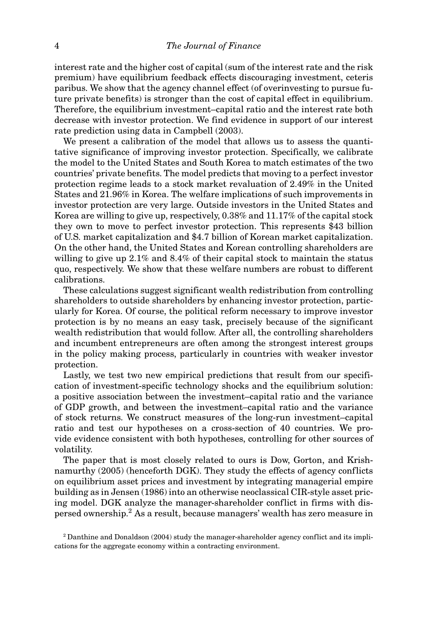interest rate and the higher cost of capital (sum of the interest rate and the risk premium) have equilibrium feedback effects discouraging investment, ceteris paribus. We show that the agency channel effect (of overinvesting to pursue future private benefits) is stronger than the cost of capital effect in equilibrium. Therefore, the equilibrium investment–capital ratio and the interest rate both decrease with investor protection. We find evidence in support of our interest rate prediction using data in Campbell (2003).

We present a calibration of the model that allows us to assess the quantitative significance of improving investor protection. Specifically, we calibrate the model to the United States and South Korea to match estimates of the two countries' private benefits. The model predicts that moving to a perfect investor protection regime leads to a stock market revaluation of 2.49% in the United States and 21.96% in Korea. The welfare implications of such improvements in investor protection are very large. Outside investors in the United States and Korea are willing to give up, respectively, 0.38% and 11.17% of the capital stock they own to move to perfect investor protection. This represents \$43 billion of U.S. market capitalization and \$4.7 billion of Korean market capitalization. On the other hand, the United States and Korean controlling shareholders are willing to give up 2.1% and 8.4% of their capital stock to maintain the status quo, respectively. We show that these welfare numbers are robust to different calibrations.

These calculations suggest significant wealth redistribution from controlling shareholders to outside shareholders by enhancing investor protection, particularly for Korea. Of course, the political reform necessary to improve investor protection is by no means an easy task, precisely because of the significant wealth redistribution that would follow. After all, the controlling shareholders and incumbent entrepreneurs are often among the strongest interest groups in the policy making process, particularly in countries with weaker investor protection.

Lastly, we test two new empirical predictions that result from our specification of investment-specific technology shocks and the equilibrium solution: a positive association between the investment–capital ratio and the variance of GDP growth, and between the investment–capital ratio and the variance of stock returns. We construct measures of the long-run investment–capital ratio and test our hypotheses on a cross-section of 40 countries. We provide evidence consistent with both hypotheses, controlling for other sources of volatility.

The paper that is most closely related to ours is Dow, Gorton, and Krishnamurthy (2005) (henceforth DGK). They study the effects of agency conflicts on equilibrium asset prices and investment by integrating managerial empire building as in Jensen (1986) into an otherwise neoclassical CIR-style asset pricing model. DGK analyze the manager-shareholder conflict in firms with dispersed ownership.<sup>2</sup> As a result, because managers' wealth has zero measure in

<sup>2</sup> Danthine and Donaldson (2004) study the manager-shareholder agency conflict and its implications for the aggregate economy within a contracting environment.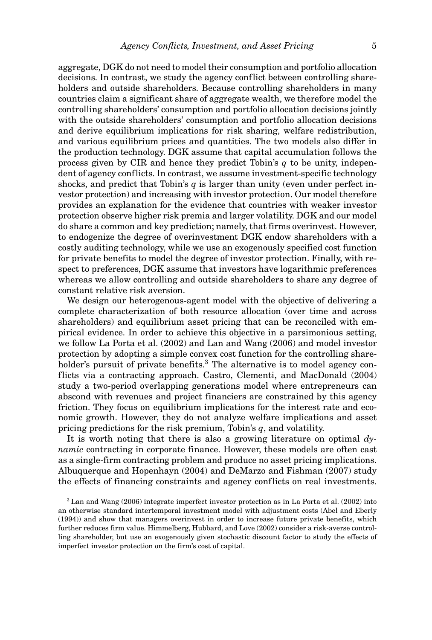aggregate, DGK do not need to model their consumption and portfolio allocation decisions. In contrast, we study the agency conflict between controlling shareholders and outside shareholders. Because controlling shareholders in many countries claim a significant share of aggregate wealth, we therefore model the controlling shareholders' consumption and portfolio allocation decisions jointly with the outside shareholders' consumption and portfolio allocation decisions and derive equilibrium implications for risk sharing, welfare redistribution, and various equilibrium prices and quantities. The two models also differ in the production technology. DGK assume that capital accumulation follows the process given by CIR and hence they predict Tobin's *q* to be unity, independent of agency conflicts. In contrast, we assume investment-specific technology shocks, and predict that Tobin's *q* is larger than unity (even under perfect investor protection) and increasing with investor protection. Our model therefore provides an explanation for the evidence that countries with weaker investor protection observe higher risk premia and larger volatility. DGK and our model do share a common and key prediction; namely, that firms overinvest. However, to endogenize the degree of overinvestment DGK endow shareholders with a costly auditing technology, while we use an exogenously specified cost function for private benefits to model the degree of investor protection. Finally, with respect to preferences, DGK assume that investors have logarithmic preferences whereas we allow controlling and outside shareholders to share any degree of constant relative risk aversion.

We design our heterogenous-agent model with the objective of delivering a complete characterization of both resource allocation (over time and across shareholders) and equilibrium asset pricing that can be reconciled with empirical evidence. In order to achieve this objective in a parsimonious setting, we follow La Porta et al. (2002) and Lan and Wang (2006) and model investor protection by adopting a simple convex cost function for the controlling shareholder's pursuit of private benefits.<sup>3</sup> The alternative is to model agency conflicts via a contracting approach. Castro, Clementi, and MacDonald (2004) study a two-period overlapping generations model where entrepreneurs can abscond with revenues and project financiers are constrained by this agency friction. They focus on equilibrium implications for the interest rate and economic growth. However, they do not analyze welfare implications and asset pricing predictions for the risk premium, Tobin's *q*, and volatility.

It is worth noting that there is also a growing literature on optimal *dynamic* contracting in corporate finance. However, these models are often cast as a single-firm contracting problem and produce no asset pricing implications. Albuquerque and Hopenhayn (2004) and DeMarzo and Fishman (2007) study the effects of financing constraints and agency conflicts on real investments.

<sup>3</sup> Lan and Wang (2006) integrate imperfect investor protection as in La Porta et al. (2002) into an otherwise standard intertemporal investment model with adjustment costs (Abel and Eberly (1994)) and show that managers overinvest in order to increase future private benefits, which further reduces firm value. Himmelberg, Hubbard, and Love (2002) consider a risk-averse controlling shareholder, but use an exogenously given stochastic discount factor to study the effects of imperfect investor protection on the firm's cost of capital.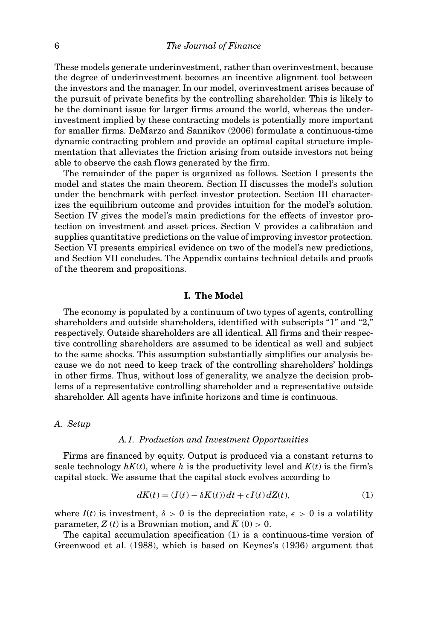These models generate underinvestment, rather than overinvestment, because the degree of underinvestment becomes an incentive alignment tool between the investors and the manager. In our model, overinvestment arises because of the pursuit of private benefits by the controlling shareholder. This is likely to be the dominant issue for larger firms around the world, whereas the underinvestment implied by these contracting models is potentially more important for smaller firms. DeMarzo and Sannikov (2006) formulate a continuous-time dynamic contracting problem and provide an optimal capital structure implementation that alleviates the friction arising from outside investors not being able to observe the cash flows generated by the firm.

The remainder of the paper is organized as follows. Section I presents the model and states the main theorem. Section II discusses the model's solution under the benchmark with perfect investor protection. Section III characterizes the equilibrium outcome and provides intuition for the model's solution. Section IV gives the model's main predictions for the effects of investor protection on investment and asset prices. Section V provides a calibration and supplies quantitative predictions on the value of improving investor protection. Section VI presents empirical evidence on two of the model's new predictions, and Section VII concludes. The Appendix contains technical details and proofs of the theorem and propositions.

## **I. The Model**

The economy is populated by a continuum of two types of agents, controlling shareholders and outside shareholders, identified with subscripts "1" and "2," respectively. Outside shareholders are all identical. All firms and their respective controlling shareholders are assumed to be identical as well and subject to the same shocks. This assumption substantially simplifies our analysis because we do not need to keep track of the controlling shareholders' holdings in other firms. Thus, without loss of generality, we analyze the decision problems of a representative controlling shareholder and a representative outside shareholder. All agents have infinite horizons and time is continuous.

#### *A. Setup*

#### *A.1. Production and Investment Opportunities*

Firms are financed by equity. Output is produced via a constant returns to scale technology  $hK(t)$ , where h is the productivity level and  $K(t)$  is the firm's capital stock. We assume that the capital stock evolves according to

$$
dK(t) = (I(t) - \delta K(t))dt + \epsilon I(t) dZ(t),
$$
\n(1)

where  $I(t)$  is investment,  $\delta > 0$  is the depreciation rate,  $\epsilon > 0$  is a volatility parameter,  $Z(t)$  is a Brownian motion, and  $K(0) > 0$ .

The capital accumulation specification (1) is a continuous-time version of Greenwood et al. (1988), which is based on Keynes's (1936) argument that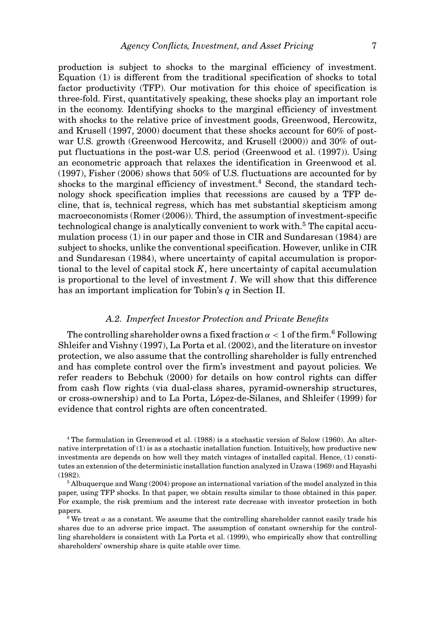production is subject to shocks to the marginal efficiency of investment. Equation (1) is different from the traditional specification of shocks to total factor productivity (TFP). Our motivation for this choice of specification is three-fold. First, quantitatively speaking, these shocks play an important role in the economy. Identifying shocks to the marginal efficiency of investment with shocks to the relative price of investment goods, Greenwood, Hercowitz, and Krusell (1997, 2000) document that these shocks account for 60% of postwar U.S. growth (Greenwood Hercowitz, and Krusell (2000)) and 30% of output fluctuations in the post-war U.S. period (Greenwood et al. (1997)). Using an econometric approach that relaxes the identification in Greenwood et al. (1997), Fisher (2006) shows that 50% of U.S. fluctuations are accounted for by shocks to the marginal efficiency of investment.<sup>4</sup> Second, the standard technology shock specification implies that recessions are caused by a TFP decline, that is, technical regress, which has met substantial skepticism among macroeconomists (Romer (2006)). Third, the assumption of investment-specific technological change is analytically convenient to work with.<sup>5</sup> The capital accumulation process (1) in our paper and those in CIR and Sundaresan (1984) are subject to shocks, unlike the conventional specification. However, unlike in CIR and Sundaresan (1984), where uncertainty of capital accumulation is proportional to the level of capital stock *K*, here uncertainty of capital accumulation is proportional to the level of investment *I*. We will show that this difference has an important implication for Tobin's *q* in Section II.

## *A.2. Imperfect Investor Protection and Private Benefits*

The controlling shareholder owns a fixed fraction  $\alpha < 1$  of the firm.<sup>6</sup> Following Shleifer and Vishny (1997), La Porta et al. (2002), and the literature on investor protection, we also assume that the controlling shareholder is fully entrenched and has complete control over the firm's investment and payout policies. We refer readers to Bebchuk (2000) for details on how control rights can differ from cash flow rights (via dual-class shares, pyramid-ownership structures, or cross-ownership) and to La Porta, Lopez-de-Silanes, and Shleifer (1999) for ´ evidence that control rights are often concentrated.

<sup>4</sup> The formulation in Greenwood et al. (1988) is a stochastic version of Solow (1960). An alternative interpretation of (1) is as a stochastic installation function. Intuitively, how productive new investments are depends on how well they match vintages of installed capital. Hence, (1) constitutes an extension of the deterministic installation function analyzed in Uzawa (1969) and Hayashi (1982).

 $5$  Albuquerque and Wang (2004) propose an international variation of the model analyzed in this paper, using TFP shocks. In that paper, we obtain results similar to those obtained in this paper. For example, the risk premium and the interest rate decrease with investor protection in both papers.

 $^6$  We treat α as a constant. We assume that the controlling shareholder cannot easily trade his shares due to an adverse price impact. The assumption of constant ownership for the controlling shareholders is consistent with La Porta et al. (1999), who empirically show that controlling shareholders' ownership share is quite stable over time.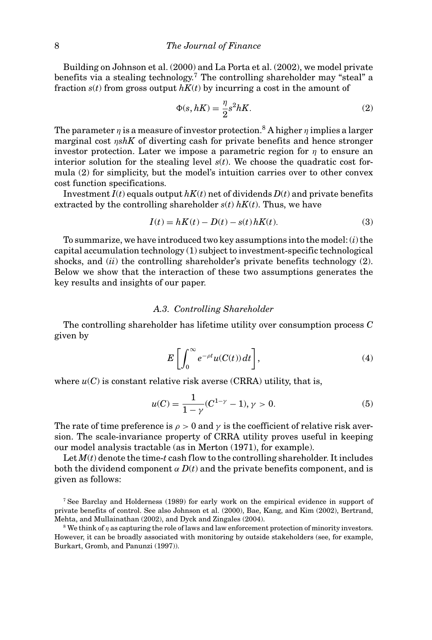Building on Johnson et al. (2000) and La Porta et al. (2002), we model private benefits via a stealing technology.<sup>7</sup> The controlling shareholder may "steal" a fraction  $s(t)$  from gross output  $hK(t)$  by incurring a cost in the amount of

$$
\Phi(s, hK) = \frac{\eta}{2} s^2 hK. \tag{2}
$$

The parameter  $\eta$  is a measure of investor protection.<sup>8</sup> A higher  $\eta$  implies a larger marginal cost η*shK* of diverting cash for private benefits and hence stronger investor protection. Later we impose a parametric region for  $\eta$  to ensure an interior solution for the stealing level *s*(*t*). We choose the quadratic cost formula (2) for simplicity, but the model's intuition carries over to other convex cost function specifications.

Investment  $I(t)$  equals output  $hK(t)$  net of dividends  $D(t)$  and private benefits extracted by the controlling shareholder  $s(t)$   $hK(t)$ . Thus, we have

$$
I(t) = hK(t) - D(t) - s(t)hK(t).
$$
 (3)

To summarize, we have introduced two key assumptions into the model: (*i*) the capital accumulation technology (1) subject to investment-specific technological shocks, and *(ii)* the controlling shareholder's private benefits technology (2). Below we show that the interaction of these two assumptions generates the key results and insights of our paper.

#### *A.3. Controlling Shareholder*

The controlling shareholder has lifetime utility over consumption process *C* given by

$$
E\left[\int_0^\infty e^{-\rho t} u(C(t)) dt\right],\tag{4}
$$

where  $u(C)$  is constant relative risk averse (CRRA) utility, that is,

$$
u(C) = \frac{1}{1 - \gamma} (C^{1 - \gamma} - 1), \gamma > 0.
$$
 (5)

The rate of time preference is  $\rho > 0$  and  $\gamma$  is the coefficient of relative risk aversion. The scale-invariance property of CRRA utility proves useful in keeping our model analysis tractable (as in Merton (1971), for example).

Let *M*(*t*) denote the time-*t* cash flow to the controlling shareholder. It includes both the dividend component  $\alpha D(t)$  and the private benefits component, and is given as follows:

<sup>7</sup> See Barclay and Holderness (1989) for early work on the empirical evidence in support of private benefits of control. See also Johnson et al. (2000), Bae, Kang, and Kim (2002), Bertrand, Mehta, and Mullainathan (2002), and Dyck and Zingales (2004).

<sup>8</sup> We think of  $\eta$  as capturing the role of laws and law enforcement protection of minority investors. However, it can be broadly associated with monitoring by outside stakeholders (see, for example, Burkart, Gromb, and Panunzi (1997)).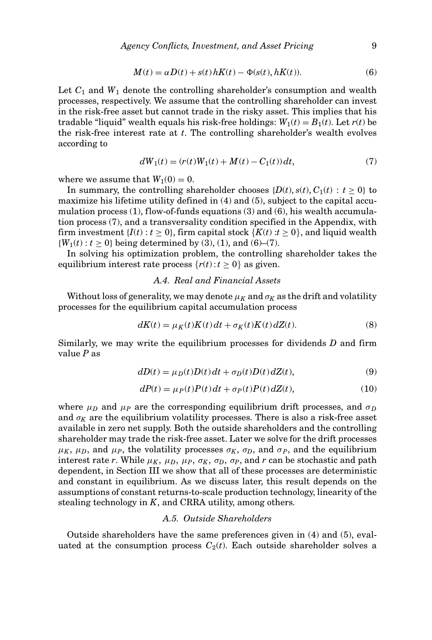$$
M(t) = \alpha D(t) + s(t)hK(t) - \Phi(s(t), hK(t)).
$$
\n(6)

Let *C*<sup>1</sup> and *W*<sup>1</sup> denote the controlling shareholder's consumption and wealth processes, respectively. We assume that the controlling shareholder can invest in the risk-free asset but cannot trade in the risky asset. This implies that his tradable "liquid" wealth equals his risk-free holdings:  $W_1(t) = B_1(t)$ . Let  $r(t)$  be the risk-free interest rate at *t*. The controlling shareholder's wealth evolves according to

$$
dW_1(t) = (r(t)W_1(t) + M(t) - C_1(t))dt,
$$
\n(7)

where we assume that  $W_1(0) = 0$ .

In summary, the controlling shareholder chooses  $\{D(t), s(t), C_1(t) : t \geq 0\}$  to maximize his lifetime utility defined in  $(4)$  and  $(5)$ , subject to the capital accumulation process  $(1)$ , flow-of-funds equations  $(3)$  and  $(6)$ , his wealth accumulation process (7), and a transversality condition specified in the Appendix, with firm investment  ${I(t): t \geq 0}$ , firm capital stock  ${K(t): t \geq 0}$ , and liquid wealth  ${W_1(t) : t \ge 0}$  being determined by (3), (1), and (6)–(7).

In solving his optimization problem, the controlling shareholder takes the equilibrium interest rate process  $\{r(t): t \geq 0\}$  as given.

## *A.4. Real and Financial Assets*

Without loss of generality, we may denote  $\mu_K$  and  $\sigma_K$  as the drift and volatility processes for the equilibrium capital accumulation process

$$
dK(t) = \mu_K(t)K(t)dt + \sigma_K(t)K(t) dZ(t).
$$
\n(8)

Similarly, we may write the equilibrium processes for dividends *D* and firm value *P* as

$$
dD(t) = \mu_D(t)D(t)dt + \sigma_D(t)D(t)dZ(t),
$$
\n(9)

$$
dP(t) = \mu_P(t)P(t)dt + \sigma_P(t)P(t)dZ(t),
$$
\n(10)

where  $\mu_D$  and  $\mu_P$  are the corresponding equilibrium drift processes, and  $\sigma_D$ and  $\sigma_K$  are the equilibrium volatility processes. There is also a risk-free asset available in zero net supply. Both the outside shareholders and the controlling shareholder may trade the risk-free asset. Later we solve for the drift processes  $\mu_K$ ,  $\mu_D$ , and  $\mu_P$ , the volatility processes  $\sigma_K$ ,  $\sigma_D$ , and  $\sigma_P$ , and the equilibrium interest rate *r*. While  $\mu_K$ ,  $\mu_D$ ,  $\mu_P$ ,  $\sigma_K$ ,  $\sigma_D$ ,  $\sigma_P$ , and *r* can be stochastic and path dependent, in Section III we show that all of these processes are deterministic and constant in equilibrium. As we discuss later, this result depends on the assumptions of constant returns-to-scale production technology, linearity of the stealing technology in *K*, and CRRA utility, among others.

## *A.5. Outside Shareholders*

Outside shareholders have the same preferences given in (4) and (5), evaluated at the consumption process  $C_2(t)$ . Each outside shareholder solves a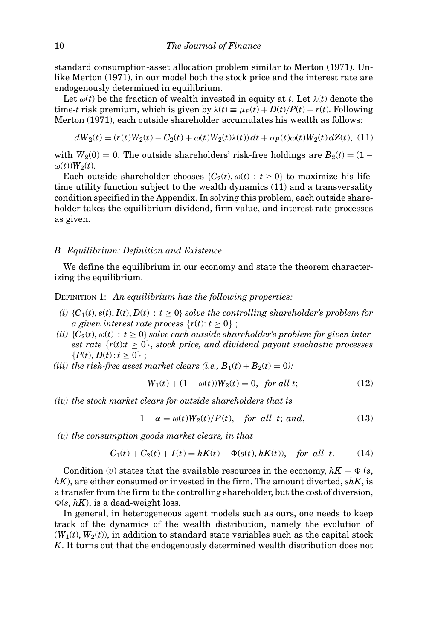standard consumption-asset allocation problem similar to Merton (1971). Unlike Merton (1971), in our model both the stock price and the interest rate are endogenously determined in equilibrium.

Let  $\omega(t)$  be the fraction of wealth invested in equity at *t*. Let  $\lambda(t)$  denote the time-*t* risk premium, which is given by  $\lambda(t) \equiv \mu_P(t) + D(t)/P(t) - r(t)$ . Following Merton (1971), each outside shareholder accumulates his wealth as follows:

$$
dW_2(t) = (r(t)W_2(t) - C_2(t) + \omega(t)W_2(t)\lambda(t))dt + \sigma_P(t)\omega(t)W_2(t) dZ(t),
$$
 (11)

with  $W_2(0) = 0$ . The outside shareholders' risk-free holdings are  $B_2(t) = (1 \omega(t)$ *)* $W_2(t)$ .

Each outside shareholder chooses  $\{C_2(t), \omega(t) : t \geq 0\}$  to maximize his lifetime utility function subject to the wealth dynamics (11) and a transversality condition specified in the Appendix. In solving this problem, each outside shareholder takes the equilibrium dividend, firm value, and interest rate processes as given.

## *B. Equilibrium: Definition and Existence*

We define the equilibrium in our economy and state the theorem characterizing the equilibrium.

DEFINITION 1: *An equilibrium has the following properties:*

- *(i)*  $\{C_1(t), s(t), I(t), D(t) : t \geq 0\}$  *solve the controlling shareholder's problem for a given interest rate process*  $\{r(t): t \geq 0\}$ ;
- (*ii*)  $\{C_2(t), \omega(t) : t \geq 0\}$  solve each outside shareholder's problem for given inter*est rate*  $\{r(t): t \geq 0\}$ , *stock price, and dividend payout stochastic processes*  ${P(t), D(t): t \geq 0}$ ;
- *(iii) the risk-free asset market clears (i.e.,*  $B_1(t) + B_2(t) = 0$ ):

$$
W_1(t) + (1 - \omega(t))W_2(t) = 0, \text{ for all } t;\tag{12}
$$

*(iv) the stock market clears for outside shareholders that is*

$$
1 - \alpha = \omega(t)W_2(t)/P(t), \quad \text{for all } t; \text{ and,} \tag{13}
$$

*(v) the consumption goods market clears, in that*

$$
C_1(t) + C_2(t) + I(t) = hK(t) - \Phi(s(t), hK(t)), \quad \text{for all } t. \tag{14}
$$

Condition (*v*) states that the available resources in the economy,  $hK - \Phi$  (*s*, *hK*), are either consumed or invested in the firm. The amount diverted, *shK*, is a transfer from the firm to the controlling shareholder, but the cost of diversion,  $\Phi(s, hK)$ , is a dead-weight loss.

In general, in heterogeneous agent models such as ours, one needs to keep track of the dynamics of the wealth distribution, namely the evolution of  $(W_1(t), W_2(t))$ , in addition to standard state variables such as the capital stock *K*. It turns out that the endogenously determined wealth distribution does not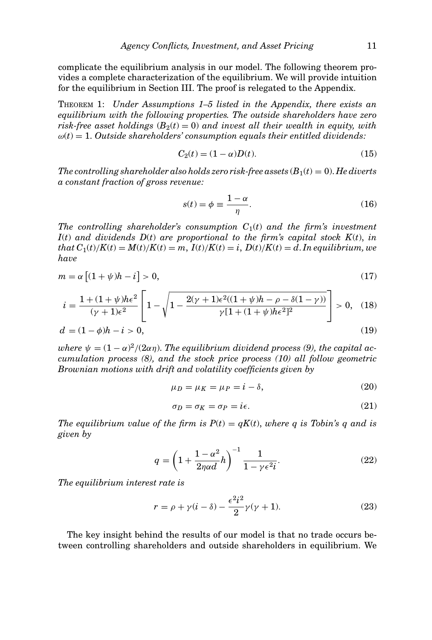complicate the equilibrium analysis in our model. The following theorem provides a complete characterization of the equilibrium. We will provide intuition for the equilibrium in Section III. The proof is relegated to the Appendix.

THEOREM 1: *Under Assumptions 1–5 listed in the Appendix, there exists an equilibrium with the following properties. The outside shareholders have zero risk-free asset holdings*  $(B_2(t) = 0)$  *and invest all their wealth in equity, with*  $\omega(t) = 1$ . Outside shareholders' consumption equals their entitled dividends:

$$
C_2(t) = (1 - \alpha)D(t). \tag{15}
$$

*The controlling shareholder also holds zero risk-free assets*  $(B_1(t) = 0)$ . *He diverts a constant fraction of gross revenue:*

$$
s(t) = \phi \equiv \frac{1 - \alpha}{\eta}.
$$
 (16)

The controlling shareholder's consumption  $C_1(t)$  and the firm's investment  $I(t)$  *and dividends*  $D(t)$  *are proportional to the firm's capital stock K(t), in that*  $C_1(t)/K(t) = M(t)/K(t) = m$ ,  $I(t)/K(t) = i$ ,  $D(t)/K(t) = d$ . In equilibrium, we *have*

$$
m = \alpha \left[ (1 + \psi)h - i \right] > 0,\tag{17}
$$

$$
i = \frac{1 + (1 + \psi)h\epsilon^2}{(\gamma + 1)\epsilon^2} \left[ 1 - \sqrt{1 - \frac{2(\gamma + 1)\epsilon^2((1 + \psi)h - \rho - \delta(1 - \gamma))}{\gamma[1 + (1 + \psi)h\epsilon^2]^2}} \right] > 0, \quad (18)
$$

$$
d = (1 - \phi)h - i > 0,\t\t(19)
$$

where  $\psi = (1 - \alpha)^2/(2\alpha\eta)$ . *The equilibrium dividend process* (9), the capital ac*cumulation process (8), and the stock price process (10) all follow geometric Brownian motions with drift and volatility coefficients given by*

$$
\mu_D = \mu_K = \mu_P = i - \delta,\tag{20}
$$

$$
\sigma_D = \sigma_K = \sigma_P = i\epsilon. \tag{21}
$$

*The equilibrium value of the firm is*  $P(t) = qK(t)$ , *where q is Tobin's q and is given by*

$$
q = \left(1 + \frac{1 - \alpha^2}{2\eta\alpha d}h\right)^{-1} \frac{1}{1 - \gamma \epsilon^2 i}.
$$
 (22)

*The equilibrium interest rate is*

$$
r = \rho + \gamma(i - \delta) - \frac{\epsilon^2 i^2}{2} \gamma(\gamma + 1). \tag{23}
$$

The key insight behind the results of our model is that no trade occurs between controlling shareholders and outside shareholders in equilibrium. We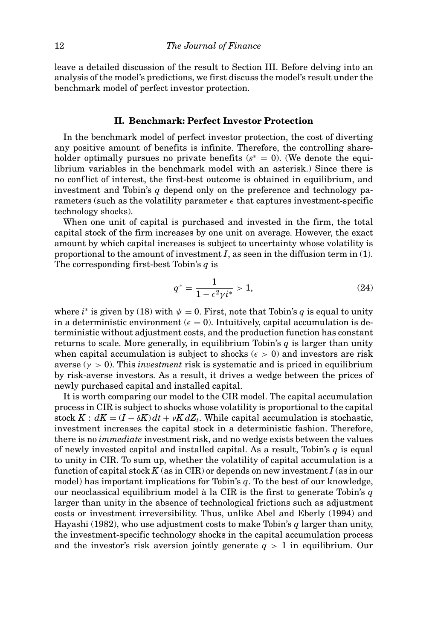leave a detailed discussion of the result to Section III. Before delving into an analysis of the model's predictions, we first discuss the model's result under the benchmark model of perfect investor protection.

#### **II. Benchmark: Perfect Investor Protection**

In the benchmark model of perfect investor protection, the cost of diverting any positive amount of benefits is infinite. Therefore, the controlling shareholder optimally pursues no private benefits  $(s^* = 0)$ . (We denote the equilibrium variables in the benchmark model with an asterisk.) Since there is no conflict of interest, the first-best outcome is obtained in equilibrium, and investment and Tobin's *q* depend only on the preference and technology parameters (such as the volatility parameter  $\epsilon$  that captures investment-specific technology shocks).

When one unit of capital is purchased and invested in the firm, the total capital stock of the firm increases by one unit on average. However, the exact amount by which capital increases is subject to uncertainty whose volatility is proportional to the amount of investment *I*, as seen in the diffusion term in (1). The corresponding first-best Tobin's *q* is

$$
q^* = \frac{1}{1 - \epsilon^2 \gamma i^*} > 1,
$$
\n(24)

where *i*<sup>\*</sup> is given by (18) with  $\psi = 0$ . First, note that Tobin's *q* is equal to unity in a deterministic environment ( $\epsilon = 0$ ). Intuitively, capital accumulation is deterministic without adjustment costs, and the production function has constant returns to scale. More generally, in equilibrium Tobin's *q* is larger than unity when capital accumulation is subject to shocks ( $\epsilon > 0$ ) and investors are risk averse  $(y > 0)$ . This *investment* risk is systematic and is priced in equilibrium by risk-averse investors. As a result, it drives a wedge between the prices of newly purchased capital and installed capital.

It is worth comparing our model to the CIR model. The capital accumulation process in CIR is subject to shocks whose volatility is proportional to the capital stock  $K : dK = (I - \delta K) dt + vK dZ_t$ . While capital accumulation is stochastic, investment increases the capital stock in a deterministic fashion. Therefore, there is no *immediate* investment risk, and no wedge exists between the values of newly invested capital and installed capital. As a result, Tobin's *q* is equal to unity in CIR. To sum up, whether the volatility of capital accumulation is a function of capital stock *K* (as in CIR) or depends on new investment *I* (as in our model) has important implications for Tobin's  $q$ . To the best of our knowledge, our neoclassical equilibrium model à la CIR is the first to generate Tobin's  $q$ larger than unity in the absence of technological frictions such as adjustment costs or investment irreversibility. Thus, unlike Abel and Eberly (1994) and Hayashi (1982), who use adjustment costs to make Tobin's  $q$  larger than unity, the investment-specific technology shocks in the capital accumulation process and the investor's risk aversion jointly generate  $q > 1$  in equilibrium. Our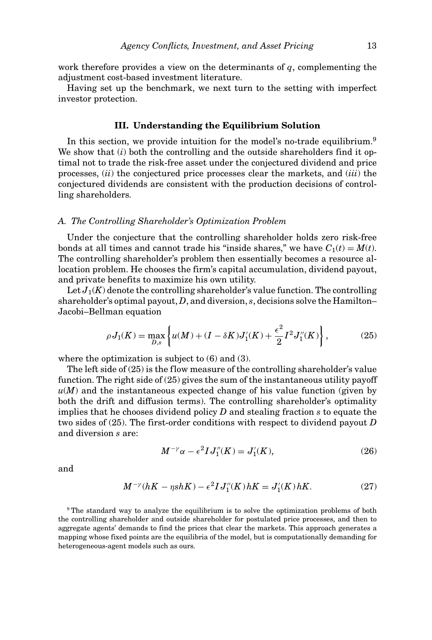work therefore provides a view on the determinants of *q*, complementing the adjustment cost-based investment literature.

Having set up the benchmark, we next turn to the setting with imperfect investor protection.

#### **III. Understanding the Equilibrium Solution**

In this section, we provide intuition for the model's no-trade equilibrium.<sup>9</sup> We show that (*i*) both the controlling and the outside shareholders find it optimal not to trade the risk-free asset under the conjectured dividend and price processes, (*ii*) the conjectured price processes clear the markets, and (*iii*) the conjectured dividends are consistent with the production decisions of controlling shareholders.

#### *A. The Controlling Shareholder's Optimization Problem*

Under the conjecture that the controlling shareholder holds zero risk-free bonds at all times and cannot trade his "inside shares," we have  $C_1(t) = M(t)$ . The controlling shareholder's problem then essentially becomes a resource allocation problem. He chooses the firm's capital accumulation, dividend payout, and private benefits to maximize his own utility.

Let  $J_1(K)$  denote the controlling shareholder's value function. The controlling shareholder's optimal payout, *D*, and diversion, *s*, decisions solve the Hamilton– Jacobi–Bellman equation

$$
\rho J_1(K) = \max_{D,s} \left\{ u(M) + (I - \delta K)J'_1(K) + \frac{\epsilon^2}{2} I^2 J''_1(K) \right\},\tag{25}
$$

where the optimization is subject to (6) and (3).

The left side of (25) is the flow measure of the controlling shareholder's value function. The right side of (25) gives the sum of the instantaneous utility payoff  $u(M)$  and the instantaneous expected change of his value function (given by both the drift and diffusion terms). The controlling shareholder's optimality implies that he chooses dividend policy *D* and stealing fraction *s* to equate the two sides of (25). The first-order conditions with respect to dividend payout *D* and diversion *s* are:

$$
M^{-\gamma} \alpha - \epsilon^2 I J_1''(K) = J_1'(K), \tag{26}
$$

and

$$
M^{-\gamma}(hK - \eta shK) - \epsilon^2 I J_1''(K)hK = J_1'(K)hK.
$$
 (27)

<sup>9</sup> The standard way to analyze the equilibrium is to solve the optimization problems of both the controlling shareholder and outside shareholder for postulated price processes, and then to aggregate agents' demands to find the prices that clear the markets. This approach generates a mapping whose fixed points are the equilibria of the model, but is computationally demanding for heterogeneous-agent models such as ours.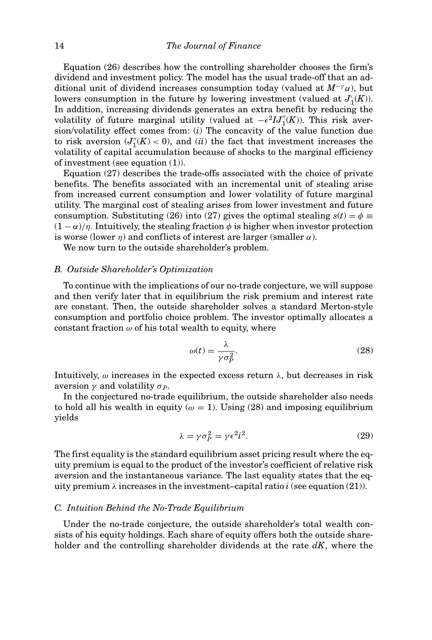Equation (26) describes how the controlling shareholder chooses the firm's dividend and investment policy. The model has the usual trade-off that an additional unit of dividend increases consumption today (valued at  $M^{-\gamma}\alpha$ ), but lowers consumption in the future by lowering investment (valued at  $J'_{1}(K)$ ). In addition, increasing dividends generates an extra benefit by reducing the volatility of future marginal utility (valued at  $-\epsilon^2 I J''_1(K)$ ). This risk aversion/volatility effect comes from: (*i*) The concavity of the value function due to risk aversion  $(J''_1(K) < 0)$ , and  $(ii)$  the fact that investment increases the volatility of capital accumulation because of shocks to the marginal efficiency of investment (see equation (1)).

Equation (27) describes the trade-offs associated with the choice of private benefits. The benefits associated with an incremental unit of stealing arise from increased current consumption and lower volatility of future marginal utility. The marginal cost of stealing arises from lower investment and future consumption. Substituting (26) into (27) gives the optimal stealing  $s(t) = \phi \equiv$  $(1 - \alpha)/\eta$ . Intuitively, the stealing fraction  $\phi$  is higher when investor protection is worse (lower  $\eta$ ) and conflicts of interest are larger (smaller  $\alpha$ ).

We now turn to the outside shareholder's problem.

#### *B. Outside Shareholder's Optimization*

To continue with the implications of our no-trade conjecture, we will suppose and then verify later that in equilibrium the risk premium and interest rate are constant. Then, the outside shareholder solves a standard Merton-style consumption and portfolio choice problem. The investor optimally allocates a constant fraction  $\omega$  of his total wealth to equity, where

$$
\omega(t) = \frac{\lambda}{\gamma \sigma_P^2}.
$$
\n(28)

Intuitively,  $\omega$  increases in the expected excess return  $\lambda$ , but decreases in risk aversion  $\gamma$  and volatility  $\sigma_P$ .

In the conjectured no-trade equilibrium, the outside shareholder also needs to hold all his wealth in equity ( $\omega = 1$ ). Using (28) and imposing equilibrium yields

$$
\lambda = \gamma \sigma_P^2 = \gamma \epsilon^2 i^2. \tag{29}
$$

The first equality is the standard equilibrium asset pricing result where the equity premium is equal to the product of the investor's coefficient of relative risk aversion and the instantaneous variance. The last equality states that the equity premium  $\lambda$  increases in the investment–capital ratio *i* (see equation (21)).

#### *C. Intuition Behind the No-Trade Equilibrium*

Under the no-trade conjecture, the outside shareholder's total wealth consists of his equity holdings. Each share of equity offers both the outside shareholder and the controlling shareholder dividends at the rate *dK*, where the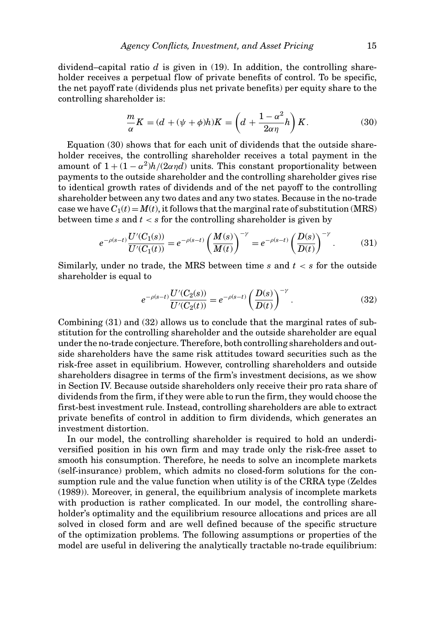dividend–capital ratio *d* is given in (19). In addition, the controlling shareholder receives a perpetual flow of private benefits of control. To be specific, the net payoff rate (dividends plus net private benefits) per equity share to the controlling shareholder is:

$$
\frac{m}{\alpha}K = (d + (\psi + \phi)h)K = \left(d + \frac{1 - \alpha^2}{2\alpha\eta}h\right)K.
$$
\n(30)

Equation (30) shows that for each unit of dividends that the outside shareholder receives, the controlling shareholder receives a total payment in the amount of  $1 + (1 - \alpha^2)h/(2\alpha\eta d)$  units. This constant proportionality between payments to the outside shareholder and the controlling shareholder gives rise to identical growth rates of dividends and of the net payoff to the controlling shareholder between any two dates and any two states. Because in the no-trade case we have  $C_1(t) = M(t)$ , it follows that the marginal rate of substitution (MRS) between time *s* and *t* < *s* for the controlling shareholder is given by

$$
e^{-\rho(s-t)} \frac{U'(C_1(s))}{U'(C_1(t))} = e^{-\rho(s-t)} \left(\frac{M(s)}{M(t)}\right)^{-\gamma} = e^{-\rho(s-t)} \left(\frac{D(s)}{D(t)}\right)^{-\gamma}.
$$
 (31)

Similarly, under no trade, the MRS between time *s* and *t* < *s* for the outside shareholder is equal to

$$
e^{-\rho(s-t)} \frac{U'(C_2(s))}{U'(C_2(t))} = e^{-\rho(s-t)} \left(\frac{D(s)}{D(t)}\right)^{-\gamma}.
$$
 (32)

Combining (31) and (32) allows us to conclude that the marginal rates of substitution for the controlling shareholder and the outside shareholder are equal under the no-trade conjecture. Therefore, both controlling shareholders and outside shareholders have the same risk attitudes toward securities such as the risk-free asset in equilibrium. However, controlling shareholders and outside shareholders disagree in terms of the firm's investment decisions, as we show in Section IV. Because outside shareholders only receive their pro rata share of dividends from the firm, if they were able to run the firm, they would choose the first-best investment rule. Instead, controlling shareholders are able to extract private benefits of control in addition to firm dividends, which generates an investment distortion.

In our model, the controlling shareholder is required to hold an underdiversified position in his own firm and may trade only the risk-free asset to smooth his consumption. Therefore, he needs to solve an incomplete markets (self-insurance) problem, which admits no closed-form solutions for the consumption rule and the value function when utility is of the CRRA type (Zeldes (1989)). Moreover, in general, the equilibrium analysis of incomplete markets with production is rather complicated. In our model, the controlling shareholder's optimality and the equilibrium resource allocations and prices are all solved in closed form and are well defined because of the specific structure of the optimization problems. The following assumptions or properties of the model are useful in delivering the analytically tractable no-trade equilibrium: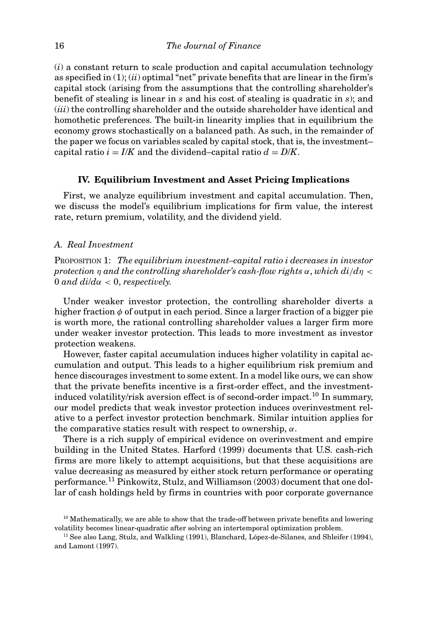(*i*) a constant return to scale production and capital accumulation technology as specified in  $(1)$ ;  $(ii)$  optimal "net" private benefits that are linear in the firm's capital stock (arising from the assumptions that the controlling shareholder's benefit of stealing is linear in *s* and his cost of stealing is quadratic in *s*); and (*iii*) the controlling shareholder and the outside shareholder have identical and homothetic preferences. The built-in linearity implies that in equilibrium the economy grows stochastically on a balanced path. As such, in the remainder of the paper we focus on variables scaled by capital stock, that is, the investment– capital ratio  $i = I/K$  and the dividend–capital ratio  $d = D/K$ .

# **IV. Equilibrium Investment and Asset Pricing Implications**

First, we analyze equilibrium investment and capital accumulation. Then, we discuss the model's equilibrium implications for firm value, the interest rate, return premium, volatility, and the dividend yield.

## *A. Real Investment*

PROPOSITION 1: *The equilibrium investment–capital ratio i decreases in investor protection* η *and the controlling shareholder's cash-flow rights* α, *which di*/*d*η < 0 *and di*/*d*α < 0, *respectively.*

Under weaker investor protection, the controlling shareholder diverts a higher fraction  $\phi$  of output in each period. Since a larger fraction of a bigger pie is worth more, the rational controlling shareholder values a larger firm more under weaker investor protection. This leads to more investment as investor protection weakens.

However, faster capital accumulation induces higher volatility in capital accumulation and output. This leads to a higher equilibrium risk premium and hence discourages investment to some extent. In a model like ours, we can show that the private benefits incentive is a first-order effect, and the investmentinduced volatility/risk aversion effect is of second-order impact.<sup>10</sup> In summary, our model predicts that weak investor protection induces overinvestment relative to a perfect investor protection benchmark. Similar intuition applies for the comparative statics result with respect to ownership,  $\alpha$ .

There is a rich supply of empirical evidence on overinvestment and empire building in the United States. Harford (1999) documents that U.S. cash-rich firms are more likely to attempt acquisitions, but that these acquisitions are value decreasing as measured by either stock return performance or operating performance.<sup>11</sup> Pinkowitz, Stulz, and Williamson (2003) document that one dollar of cash holdings held by firms in countries with poor corporate governance

 $10$  Mathematically, we are able to show that the trade-off between private benefits and lowering volatility becomes linear-quadratic after solving an intertemporal optimization problem.

<sup>&</sup>lt;sup>11</sup> See also Lang, Stulz, and Walkling (1991), Blanchard, López-de-Silanes, and Shleifer (1994), and Lamont (1997).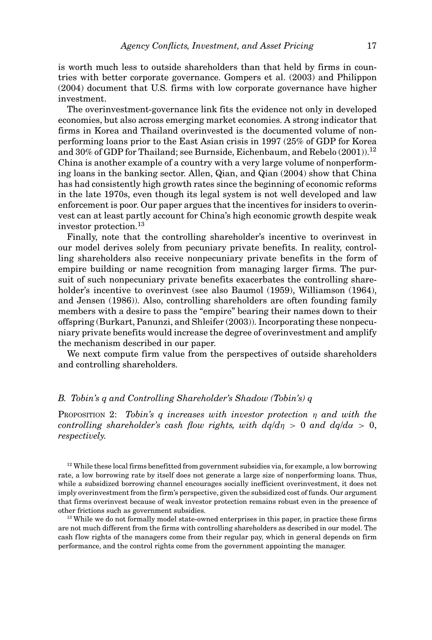is worth much less to outside shareholders than that held by firms in countries with better corporate governance. Gompers et al. (2003) and Philippon (2004) document that U.S. firms with low corporate governance have higher investment.

The overinvestment-governance link fits the evidence not only in developed economies, but also across emerging market economies. A strong indicator that firms in Korea and Thailand overinvested is the documented volume of nonperforming loans prior to the East Asian crisis in 1997 (25% of GDP for Korea and 30% of GDP for Thailand; see Burnside, Eichenbaum, and Rebelo  $(2001)$ .<sup>12</sup> China is another example of a country with a very large volume of nonperforming loans in the banking sector. Allen, Qian, and Qian (2004) show that China has had consistently high growth rates since the beginning of economic reforms in the late 1970s, even though its legal system is not well developed and law enforcement is poor. Our paper argues that the incentives for insiders to overinvest can at least partly account for China's high economic growth despite weak investor protection.<sup>13</sup>

Finally, note that the controlling shareholder's incentive to overinvest in our model derives solely from pecuniary private benefits. In reality, controlling shareholders also receive nonpecuniary private benefits in the form of empire building or name recognition from managing larger firms. The pursuit of such nonpecuniary private benefits exacerbates the controlling shareholder's incentive to overinvest (see also Baumol (1959), Williamson (1964), and Jensen (1986)). Also, controlling shareholders are often founding family members with a desire to pass the "empire" bearing their names down to their offspring (Burkart, Panunzi, and Shleifer (2003)). Incorporating these nonpecuniary private benefits would increase the degree of overinvestment and amplify the mechanism described in our paper.

We next compute firm value from the perspectives of outside shareholders and controlling shareholders.

## *B. Tobin's q and Controlling Shareholder's Shadow (Tobin's) q*

PROPOSITION 2: *Tobin's q increases with investor protection* η *and with the controlling shareholder's cash flow rights, with*  $dq/d\eta > 0$  *and*  $dq/d\alpha > 0$ *, respectively.*

 $12$  While these local firms benefitted from government subsidies via, for example, a low borrowing rate, a low borrowing rate by itself does not generate a large size of nonperforming loans. Thus, while a subsidized borrowing channel encourages socially inefficient overinvestment, it does not imply overinvestment from the firm's perspective, given the subsidized cost of funds. Our argument that firms overinvest because of weak investor protection remains robust even in the presence of other frictions such as government subsidies.

<sup>13</sup> While we do not formally model state-owned enterprises in this paper, in practice these firms are not much different from the firms with controlling shareholders as described in our model. The cash flow rights of the managers come from their regular pay, which in general depends on firm performance, and the control rights come from the government appointing the manager.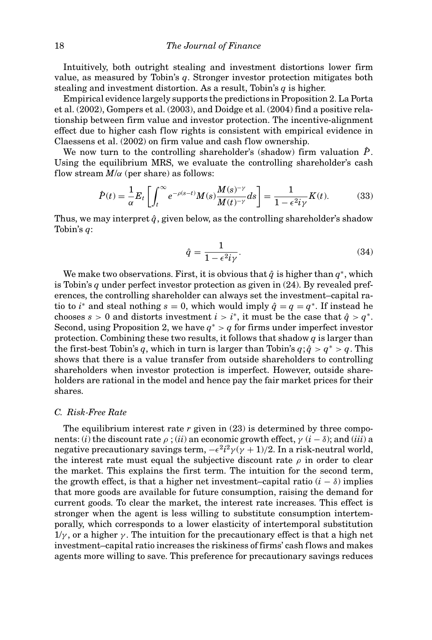Intuitively, both outright stealing and investment distortions lower firm value, as measured by Tobin's *q*. Stronger investor protection mitigates both stealing and investment distortion. As a result, Tobin's *q* is higher.

Empirical evidence largely supports the predictions in Proposition 2. La Porta et al. (2002), Gompers et al. (2003), and Doidge et al. (2004) find a positive relationship between firm value and investor protection. The incentive-alignment effect due to higher cash flow rights is consistent with empirical evidence in Claessens et al. (2002) on firm value and cash flow ownership.

We now turn to the controlling shareholder's (shadow) firm valuation  $\ddot{P}$ . Using the equilibrium MRS, we evaluate the controlling shareholder's cash flow stream  $M/\alpha$  (per share) as follows:

$$
\hat{P}(t) = \frac{1}{\alpha} E_t \left[ \int_t^{\infty} e^{-\rho(s-t)} M(s) \frac{M(s)^{-\gamma}}{M(t)^{-\gamma}} ds \right] = \frac{1}{1 - \epsilon^2 i \gamma} K(t). \tag{33}
$$

Thus, we may interpret  $\hat{q}$ , given below, as the controlling shareholder's shadow Tobin's *q*:

$$
\hat{q} = \frac{1}{1 - \epsilon^2 i \gamma}.\tag{34}
$$

We make two observations. First, it is obvious that  $\hat{q}$  is higher than  $q^*$ , which is Tobin's *q* under perfect investor protection as given in (24). By revealed preferences, the controlling shareholder can always set the investment–capital ratio to *i*<sup>\*</sup> and steal nothing  $s = 0$ , which would imply  $\hat{q} = q = q^*$ . If instead he chooses  $s > 0$  and distorts investment  $i > i^*$ , it must be the case that  $\hat{q} > q^*$ . Second, using Proposition 2, we have  $q^* > q$  for firms under imperfect investor protection. Combining these two results, it follows that shadow *q* is larger than the first-best Tobin's *q*, which in turn is larger than Tobin's  $q$ ;  $\hat{q} > q^* > q$ . This shows that there is a value transfer from outside shareholders to controlling shareholders when investor protection is imperfect. However, outside shareholders are rational in the model and hence pay the fair market prices for their shares.

#### *C. Risk-Free Rate*

The equilibrium interest rate  $r$  given in  $(23)$  is determined by three components: (*i*) the discount rate  $\rho$ ; (*ii*) an economic growth effect,  $\gamma$  (*i* −  $\delta$ ); and (*iii*) a negative precautionary savings term,  $-\epsilon^2 i^2 \gamma (\gamma+1)/2.$  In a risk-neutral world, the interest rate must equal the subjective discount rate  $\rho$  in order to clear the market. This explains the first term. The intuition for the second term, the growth effect, is that a higher net investment–capital ratio  $(i - \delta)$  implies that more goods are available for future consumption, raising the demand for current goods. To clear the market, the interest rate increases. This effect is stronger when the agent is less willing to substitute consumption intertemporally, which corresponds to a lower elasticity of intertemporal substitution  $1/\gamma$ , or a higher  $\gamma$ . The intuition for the precautionary effect is that a high net investment–capital ratio increases the riskiness of firms' cash flows and makes agents more willing to save. This preference for precautionary savings reduces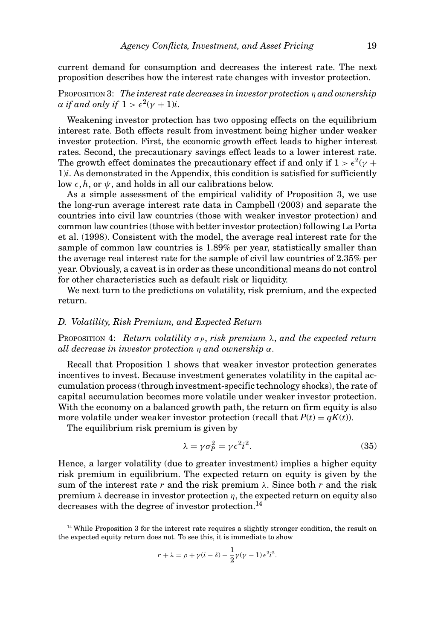current demand for consumption and decreases the interest rate. The next proposition describes how the interest rate changes with investor protection.

# PROPOSITION 3: *The interest rate decreases in investor protection* η *and ownership*  $\alpha$  *if and only if*  $1 > \epsilon^2(\gamma + 1)i$ .

Weakening investor protection has two opposing effects on the equilibrium interest rate. Both effects result from investment being higher under weaker investor protection. First, the economic growth effect leads to higher interest rates. Second, the precautionary savings effect leads to a lower interest rate. The growth effect dominates the precautionary effect if and only if  $1 > \epsilon^2(\gamma +$ 1)*i*. As demonstrated in the Appendix, this condition is satisfied for sufficiently low  $\epsilon$ , *h*, or  $\psi$ , and holds in all our calibrations below.

As a simple assessment of the empirical validity of Proposition 3, we use the long-run average interest rate data in Campbell (2003) and separate the countries into civil law countries (those with weaker investor protection) and common law countries (those with better investor protection) following La Porta et al. (1998). Consistent with the model, the average real interest rate for the sample of common law countries is 1.89% per year, statistically smaller than the average real interest rate for the sample of civil law countries of 2.35% per year. Obviously, a caveat is in order as these unconditional means do not control for other characteristics such as default risk or liquidity.

We next turn to the predictions on volatility, risk premium, and the expected return.

#### *D. Volatility, Risk Premium, and Expected Return*

PROPOSITION 4: *Return volatility* σ *<sup>P</sup>*, *risk premium* λ, *and the expected return all decrease in investor protection* η *and ownership* α.

Recall that Proposition 1 shows that weaker investor protection generates incentives to invest. Because investment generates volatility in the capital accumulation process (through investment-specific technology shocks), the rate of capital accumulation becomes more volatile under weaker investor protection. With the economy on a balanced growth path, the return on firm equity is also more volatile under weaker investor protection (recall that  $P(t) = qK(t)$ ).

The equilibrium risk premium is given by

$$
\lambda = \gamma \sigma_P^2 = \gamma \epsilon^2 i^2. \tag{35}
$$

Hence, a larger volatility (due to greater investment) implies a higher equity risk premium in equilibrium. The expected return on equity is given by the sum of the interest rate *r* and the risk premium  $\lambda$ . Since both *r* and the risk premium  $\lambda$  decrease in investor protection  $\eta$ , the expected return on equity also decreases with the degree of investor protection.<sup>14</sup>

<sup>14</sup> While Proposition 3 for the interest rate requires a slightly stronger condition, the result on the expected equity return does not. To see this, it is immediate to show

$$
r + \lambda = \rho + \gamma(i - \delta) - \frac{1}{2}\gamma(\gamma - 1)\epsilon^2 i^2.
$$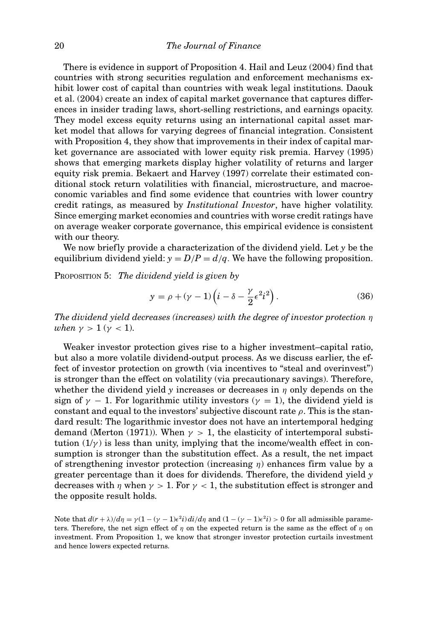There is evidence in support of Proposition 4. Hail and Leuz (2004) find that countries with strong securities regulation and enforcement mechanisms exhibit lower cost of capital than countries with weak legal institutions. Daouk et al. (2004) create an index of capital market governance that captures differences in insider trading laws, short-selling restrictions, and earnings opacity. They model excess equity returns using an international capital asset market model that allows for varying degrees of financial integration. Consistent with Proposition 4, they show that improvements in their index of capital market governance are associated with lower equity risk premia. Harvey (1995) shows that emerging markets display higher volatility of returns and larger equity risk premia. Bekaert and Harvey (1997) correlate their estimated conditional stock return volatilities with financial, microstructure, and macroeconomic variables and find some evidence that countries with lower country credit ratings, as measured by *Institutional Investor*, have higher volatility. Since emerging market economies and countries with worse credit ratings have on average weaker corporate governance, this empirical evidence is consistent with our theory.

We now briefly provide a characterization of the dividend yield. Let *y* be the equilibrium dividend yield:  $y = D/P = d/q$ . We have the following proposition.

PROPOSITION 5: *The dividend yield is given by*

$$
y = \rho + (\gamma - 1)\left(i - \delta - \frac{\gamma}{2}\epsilon^2 i^2\right).
$$
 (36)

*The dividend yield decreases (increases) with the degree of investor protection* η *when*  $\gamma > 1$  ( $\gamma < 1$ ).

Weaker investor protection gives rise to a higher investment–capital ratio, but also a more volatile dividend-output process. As we discuss earlier, the effect of investor protection on growth (via incentives to "steal and overinvest") is stronger than the effect on volatility (via precautionary savings). Therefore, whether the dividend yield *y* increases or decreases in η only depends on the sign of  $\gamma$  – 1. For logarithmic utility investors ( $\gamma$  = 1), the dividend yield is constant and equal to the investors' subjective discount rate  $\rho$ . This is the standard result: The logarithmic investor does not have an intertemporal hedging demand (Merton (1971)). When  $\gamma > 1$ , the elasticity of intertemporal substitution  $(1/\gamma)$  is less than unity, implying that the income/wealth effect in consumption is stronger than the substitution effect. As a result, the net impact of strengthening investor protection (increasing  $\eta$ ) enhances firm value by a greater percentage than it does for dividends. Therefore, the dividend yield *y* decreases with  $\eta$  when  $\gamma > 1$ . For  $\gamma < 1$ , the substitution effect is stronger and the opposite result holds.

Note that  $d(r + \lambda)/d\eta = \gamma(1 - (\gamma - 1)\epsilon^2 i) \frac{di}{d\eta}$  and  $(1 - (\gamma - 1)\epsilon^2 i) > 0$  for all admissible parameters. Therefore, the net sign effect of  $\eta$  on the expected return is the same as the effect of  $\eta$  on investment. From Proposition 1, we know that stronger investor protection curtails investment and hence lowers expected returns.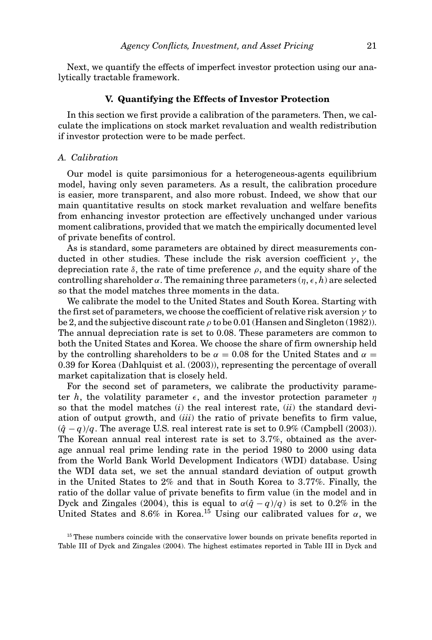Next, we quantify the effects of imperfect investor protection using our analytically tractable framework.

### **V. Quantifying the Effects of Investor Protection**

In this section we first provide a calibration of the parameters. Then, we calculate the implications on stock market revaluation and wealth redistribution if investor protection were to be made perfect.

#### *A. Calibration*

Our model is quite parsimonious for a heterogeneous-agents equilibrium model, having only seven parameters. As a result, the calibration procedure is easier, more transparent, and also more robust. Indeed, we show that our main quantitative results on stock market revaluation and welfare benefits from enhancing investor protection are effectively unchanged under various moment calibrations, provided that we match the empirically documented level of private benefits of control.

As is standard, some parameters are obtained by direct measurements conducted in other studies. These include the risk aversion coefficient  $\gamma$ , the depreciation rate  $\delta$ , the rate of time preference  $\rho$ , and the equity share of the controlling shareholder  $\alpha$ . The remaining three parameters  $(\eta, \epsilon, h)$  are selected so that the model matches three moments in the data.

We calibrate the model to the United States and South Korea. Starting with the first set of parameters, we choose the coefficient of relative risk aversion  $\gamma$  to be 2, and the subjective discount rate  $\rho$  to be 0.01 (Hansen and Singleton (1982)). The annual depreciation rate is set to 0.08. These parameters are common to both the United States and Korea. We choose the share of firm ownership held by the controlling shareholders to be  $\alpha = 0.08$  for the United States and  $\alpha =$ 0.39 for Korea (Dahlquist et al. (2003)), representing the percentage of overall market capitalization that is closely held.

For the second set of parameters, we calibrate the productivity parameter *h*, the volatility parameter  $\epsilon$ , and the investor protection parameter  $\eta$ so that the model matches (*i*) the real interest rate, (*ii*) the standard deviation of output growth, and (*iii*) the ratio of private benefits to firm value,  $(\hat{q} - q)/q$ . The average U.S. real interest rate is set to 0.9% (Campbell (2003)). The Korean annual real interest rate is set to 3.7%, obtained as the average annual real prime lending rate in the period 1980 to 2000 using data from the World Bank World Development Indicators (WDI) database. Using the WDI data set, we set the annual standard deviation of output growth in the United States to 2% and that in South Korea to 3.77%. Finally, the ratio of the dollar value of private benefits to firm value (in the model and in Dyck and Zingales (2004), this is equal to  $\alpha(\hat{q} - q)/q$ ) is set to 0.2% in the United States and 8.6% in Korea.<sup>15</sup> Using our calibrated values for  $\alpha$ , we

<sup>15</sup> These numbers coincide with the conservative lower bounds on private benefits reported in Table III of Dyck and Zingales (2004). The highest estimates reported in Table III in Dyck and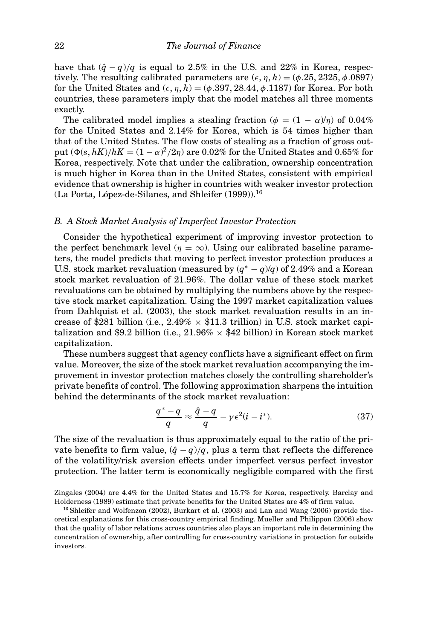have that  $(\hat{q} - q)/q$  is equal to 2.5% in the U.S. and 22% in Korea, respectively. The resulting calibrated parameters are  $(\epsilon, \eta, h) = (\phi.25, 2325, \phi.0897)$ for the United States and  $(\epsilon, \eta, h) = (\phi.397, 28.44, \phi.1187)$  for Korea. For both countries, these parameters imply that the model matches all three moments exactly.

The calibrated model implies a stealing fraction ( $\phi = (1 - \alpha)/\eta$ ) of 0.04% for the United States and 2.14% for Korea, which is 54 times higher than that of the United States. The flow costs of stealing as a fraction of gross output  $(\Phi(s, hK)/hK = (1 - \alpha)^2/2\eta)$  are 0.02% for the United States and 0.65% for Korea, respectively. Note that under the calibration, ownership concentration is much higher in Korea than in the United States, consistent with empirical evidence that ownership is higher in countries with weaker investor protection (La Porta, López-de-Silanes, and Shleifer  $(1999)$ ).<sup>16</sup>

## *B. A Stock Market Analysis of Imperfect Investor Protection*

Consider the hypothetical experiment of improving investor protection to the perfect benchmark level ( $\eta = \infty$ ). Using our calibrated baseline parameters, the model predicts that moving to perfect investor protection produces a U.S. stock market revaluation (measured by  $(q^* - q)/q$ ) of 2.49% and a Korean stock market revaluation of 21.96%. The dollar value of these stock market revaluations can be obtained by multiplying the numbers above by the respective stock market capitalization. Using the 1997 market capitalization values from Dahlquist et al. (2003), the stock market revaluation results in an increase of \$281 billion (i.e.,  $2.49\% \times $11.3$  trillion) in U.S. stock market capitalization and \$9.2 billion (i.e.,  $21.96\% \times $42$  billion) in Korean stock market capitalization.

These numbers suggest that agency conflicts have a significant effect on firm value. Moreover, the size of the stock market revaluation accompanying the improvement in investor protection matches closely the controlling shareholder's private benefits of control. The following approximation sharpens the intuition behind the determinants of the stock market revaluation:

$$
\frac{q^*-q}{q} \approx \frac{\hat{q}-q}{q} - \gamma \epsilon^2 (i - i^*). \tag{37}
$$

The size of the revaluation is thus approximately equal to the ratio of the private benefits to firm value,  $(\hat{q} - q)/q$ , plus a term that reflects the difference of the volatility/risk aversion effects under imperfect versus perfect investor protection. The latter term is economically negligible compared with the first

Zingales (2004) are 4.4% for the United States and 15.7% for Korea, respectively. Barclay and Holderness (1989) estimate that private benefits for the United States are 4% of firm value.

<sup>&</sup>lt;sup>16</sup> Shleifer and Wolfenzon (2002), Burkart et al. (2003) and Lan and Wang (2006) provide theoretical explanations for this cross-country empirical finding. Mueller and Philippon (2006) show that the quality of labor relations across countries also plays an important role in determining the concentration of ownership, after controlling for cross-country variations in protection for outside investors.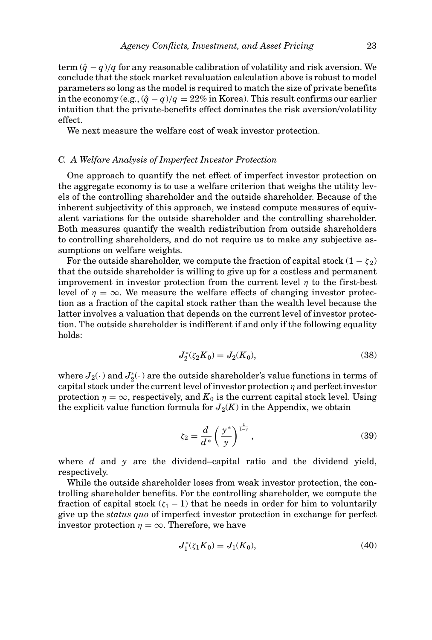term  $(\hat{q} - q)/q$  for any reasonable calibration of volatility and risk aversion. We conclude that the stock market revaluation calculation above is robust to model parameters so long as the model is required to match the size of private benefits in the economy (e.g.,  $(\hat{q} - q)/q = 22\%$  in Korea). This result confirms our earlier intuition that the private-benefits effect dominates the risk aversion/volatility effect.

We next measure the welfare cost of weak investor protection.

#### *C. A Welfare Analysis of Imperfect Investor Protection*

One approach to quantify the net effect of imperfect investor protection on the aggregate economy is to use a welfare criterion that weighs the utility levels of the controlling shareholder and the outside shareholder. Because of the inherent subjectivity of this approach, we instead compute measures of equivalent variations for the outside shareholder and the controlling shareholder. Both measures quantify the wealth redistribution from outside shareholders to controlling shareholders, and do not require us to make any subjective assumptions on welfare weights.

For the outside shareholder, we compute the fraction of capital stock  $(1 - \zeta_2)$ that the outside shareholder is willing to give up for a costless and permanent improvement in investor protection from the current level  $\eta$  to the first-best level of  $\eta = \infty$ . We measure the welfare effects of changing investor protection as a fraction of the capital stock rather than the wealth level because the latter involves a valuation that depends on the current level of investor protection. The outside shareholder is indifferent if and only if the following equality holds:

$$
J_2^*(\zeta_2 K_0) = J_2(K_0),\tag{38}
$$

where  $J_2(\cdot)$  and  $J_2^*(\cdot)$  are the outside shareholder's value functions in terms of capital stock under the current level of investor protection  $\eta$  and perfect investor protection  $\eta = \infty$ , respectively, and  $K_0$  is the current capital stock level. Using the explicit value function formula for  $J_2(K)$  in the Appendix, we obtain

$$
\zeta_2 = \frac{d}{d^*} \left(\frac{y^*}{y}\right)^{\frac{1}{1-y}},\tag{39}
$$

where *d* and *y* are the dividend–capital ratio and the dividend yield, respectively.

While the outside shareholder loses from weak investor protection, the controlling shareholder benefits. For the controlling shareholder, we compute the fraction of capital stock ( $\zeta_1$  – 1) that he needs in order for him to voluntarily give up the *status quo* of imperfect investor protection in exchange for perfect investor protection  $\eta = \infty$ . Therefore, we have

$$
J_1^*(\zeta_1 K_0) = J_1(K_0),\tag{40}
$$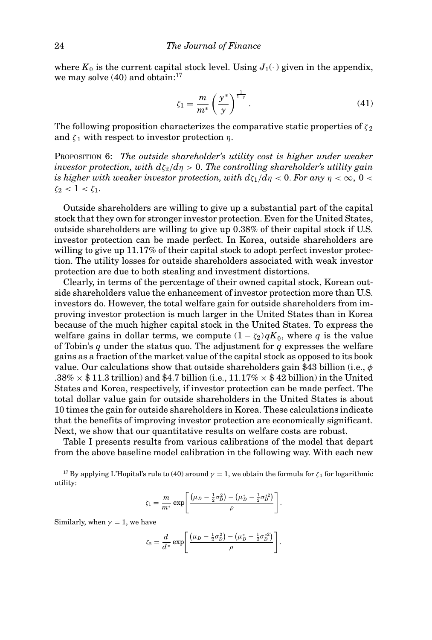where  $K_0$  is the current capital stock level. Using  $J_1(\cdot)$  given in the appendix, we may solve  $(40)$  and obtain:<sup>17</sup>

$$
\zeta_1 = \frac{m}{m^*} \left(\frac{y^*}{y}\right)^{\frac{1}{1-y}}.\tag{41}
$$

The following proposition characterizes the comparative static properties of  $\zeta_2$ and  $\zeta_1$  with respect to investor protection  $\eta$ .

PROPOSITION 6: *The outside shareholder's utility cost is higher under weaker investor protection, with d*ζ2/*d*η > 0. *The controlling shareholder's utility gain is higher with weaker investor protection, with*  $d\zeta_1/d\eta < 0$ *. For any*  $\eta < \infty$ , 0 <  $\zeta_2 < 1 < \zeta_1$ .

Outside shareholders are willing to give up a substantial part of the capital stock that they own for stronger investor protection. Even for the United States, outside shareholders are willing to give up 0.38% of their capital stock if U.S. investor protection can be made perfect. In Korea, outside shareholders are willing to give up 11.17% of their capital stock to adopt perfect investor protection. The utility losses for outside shareholders associated with weak investor protection are due to both stealing and investment distortions.

Clearly, in terms of the percentage of their owned capital stock, Korean outside shareholders value the enhancement of investor protection more than U.S. investors do. However, the total welfare gain for outside shareholders from improving investor protection is much larger in the United States than in Korea because of the much higher capital stock in the United States. To express the welfare gains in dollar terms, we compute  $(1 - \zeta_2) qK_0$ , where *q* is the value of Tobin's *q* under the status quo. The adjustment for *q* expresses the welfare gains as a fraction of the market value of the capital stock as opposed to its book value. Our calculations show that outside shareholders gain \$43 billion (i.e.,  $\phi$ ) .38%  $\times$  \$ 11.3 trillion) and \$4.7 billion (i.e., 11.17%  $\times$  \$ 42 billion) in the United States and Korea, respectively, if investor protection can be made perfect. The total dollar value gain for outside shareholders in the United States is about 10 times the gain for outside shareholders in Korea. These calculations indicate that the benefits of improving investor protection are economically significant. Next, we show that our quantitative results on welfare costs are robust.

Table I presents results from various calibrations of the model that depart from the above baseline model calibration in the following way. With each new

<sup>17</sup> By applying L'Hopital's rule to (40) around  $\gamma = 1$ , we obtain the formula for  $\zeta_1$  for logarithmic utility:

$$
\zeta_1 = \frac{m}{m^*} \exp \left[ \frac{(\mu_D - \frac{1}{2} \sigma_D^2) - (\mu_D^* - \frac{1}{2} \sigma_D^{*2})}{\rho} \right].
$$

Similarly, when  $\gamma = 1$ , we have

$$
\zeta_2 = \frac{d}{d^*} \exp \left[ \frac{(\mu_D - \frac{1}{2} \sigma_D^2) - (\mu_D^* - \frac{1}{2} \sigma_D^{*2})}{\rho} \right].
$$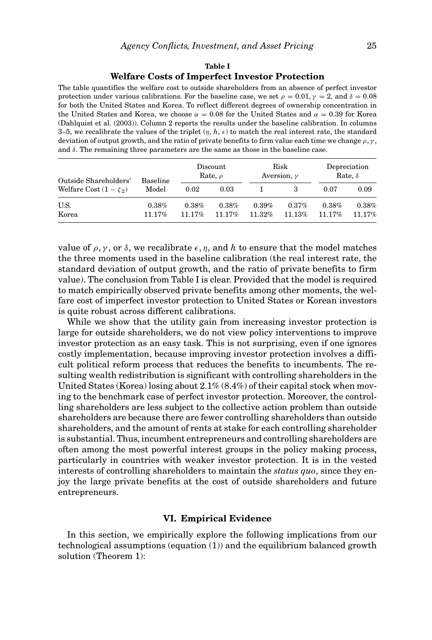### **Table I Welfare Costs of Imperfect Investor Protection**

The table quantifies the welfare cost to outside shareholders from an absence of perfect investor protection under various calibrations. For the baseline case, we set  $\rho = 0.01$ ,  $\gamma = 2$ , and  $\delta = 0.08$ for both the United States and Korea. To reflect different degrees of ownership concentration in the United States and Korea, we choose  $\alpha = 0.08$  for the United States and  $\alpha = 0.39$  for Korea (Dahlquist et al. (2003)). Column 2 reports the results under the baseline calibration. In columns 3–5, we recalibrate the values of the triplet  $(\eta, h, \epsilon)$  to match the real interest rate, the standard deviation of output growth, and the ratio of private benefits to firm value each time we change  $\rho, \gamma$ , and  $\delta$ . The remaining three parameters are the same as those in the baseline case.

| Outside Shareholders'        | Baseline<br>Model | Discount<br>Rate, $\rho$ |        | Risk<br>Aversion, $\nu$ |          | Depreciation<br>Rate, $\delta$ |        |
|------------------------------|-------------------|--------------------------|--------|-------------------------|----------|--------------------------------|--------|
| Welfare Cost $(1 - \zeta_2)$ |                   | 0.02                     | 0.03   |                         |          | 0.07                           | 0.09   |
| U.S.                         | 0.38%             | 0.38%                    | 0.38%  | 0.39%                   | $0.37\%$ | 0.38%                          | 0.38%  |
| Korea                        | 11.17%            | 11.17%                   | 11.17% | 11.32%                  | 11.13%   | 11.17%                         | 11.17% |

value of  $\rho$ ,  $\gamma$ , or  $\delta$ , we recalibrate  $\epsilon$ ,  $\eta$ , and h to ensure that the model matches the three moments used in the baseline calibration (the real interest rate, the standard deviation of output growth, and the ratio of private benefits to firm value). The conclusion from Table I is clear. Provided that the model is required to match empirically observed private benefits among other moments, the welfare cost of imperfect investor protection to United States or Korean investors is quite robust across different calibrations.

While we show that the utility gain from increasing investor protection is large for outside shareholders, we do not view policy interventions to improve investor protection as an easy task. This is not surprising, even if one ignores costly implementation, because improving investor protection involves a difficult political reform process that reduces the benefits to incumbents. The resulting wealth redistribution is significant with controlling shareholders in the United States (Korea) losing about  $2.1\%$  (8.4%) of their capital stock when moving to the benchmark case of perfect investor protection. Moreover, the controlling shareholders are less subject to the collective action problem than outside shareholders are because there are fewer controlling shareholders than outside shareholders, and the amount of rents at stake for each controlling shareholder is substantial. Thus, incumbent entrepreneurs and controlling shareholders are often among the most powerful interest groups in the policy making process, particularly in countries with weaker investor protection. It is in the vested interests of controlling shareholders to maintain the *status quo*, since they enjoy the large private benefits at the cost of outside shareholders and future entrepreneurs.

### **VI. Empirical Evidence**

In this section, we empirically explore the following implications from our technological assumptions (equation (1)) and the equilibrium balanced growth solution (Theorem 1):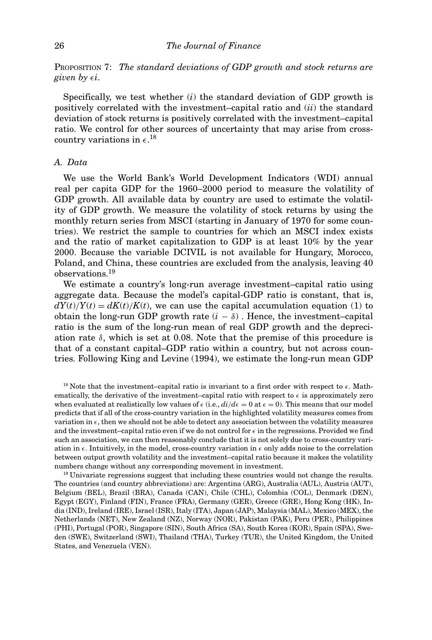PROPOSITION 7: *The standard deviations of GDP growth and stock returns are given* by  $\epsilon i$ .

Specifically, we test whether (*i*) the standard deviation of GDP growth is positively correlated with the investment–capital ratio and (*ii*) the standard deviation of stock returns is positively correlated with the investment–capital ratio. We control for other sources of uncertainty that may arise from crosscountry variations in  $\epsilon$ .<sup>18</sup>

# *A. Data*

We use the World Bank's World Development Indicators (WDI) annual real per capita GDP for the 1960–2000 period to measure the volatility of GDP growth. All available data by country are used to estimate the volatility of GDP growth. We measure the volatility of stock returns by using the monthly return series from MSCI (starting in January of 1970 for some countries). We restrict the sample to countries for which an MSCI index exists and the ratio of market capitalization to GDP is at least 10% by the year 2000. Because the variable DCIVIL is not available for Hungary, Morocco, Poland, and China, these countries are excluded from the analysis, leaving 40 observations.<sup>19</sup>

We estimate a country's long-run average investment–capital ratio using aggregate data. Because the model's capital-GDP ratio is constant, that is,  $dY(t)/Y(t) = dK(t)/K(t)$ , we can use the capital accumulation equation (1) to obtain the long-run GDP growth rate  $(i - \delta)$ . Hence, the investment–capital ratio is the sum of the long-run mean of real GDP growth and the depreciation rate  $\delta$ , which is set at 0.08. Note that the premise of this procedure is that of a constant capital–GDP ratio within a country, but not across countries. Following King and Levine (1994), we estimate the long-run mean GDP

<sup>18</sup> Note that the investment–capital ratio is invariant to a first order with respect to  $\epsilon$ . Mathematically, the derivative of the investment–capital ratio with respect to  $\epsilon$  is approximately zero when evaluated at realistically low values of  $\epsilon$  (i.e.,  $di/d\epsilon = 0$  at  $\epsilon = 0$ ). This means that our model predicts that if all of the cross-country variation in the highlighted volatility measures comes from variation in  $\epsilon$ , then we should not be able to detect any association between the volatility measures and the investment–capital ratio even if we do not control for  $\epsilon$  in the regressions. Provided we find such an association, we can then reasonably conclude that it is not solely due to cross-country variation in  $\epsilon$ . Intuitively, in the model, cross-country variation in  $\epsilon$  only adds noise to the correlation between output growth volatility and the investment–capital ratio because it makes the volatility numbers change without any corresponding movement in investment.

<sup>19</sup> Univariate regressions suggest that including these countries would not change the results. The countries (and country abbreviations) are: Argentina (ARG), Australia (AUL), Austria (AUT), Belgium (BEL), Brazil (BRA), Canada (CAN), Chile (CHL), Colombia (COL), Denmark (DEN), Egypt (EGY), Finland (FIN), France (FRA), Germany (GER), Greece (GRE), Hong Kong (HK), India (IND), Ireland (IRE), Israel (ISR), Italy (ITA), Japan (JAP), Malaysia (MAL), Mexico (MEX), the Netherlands (NET), New Zealand (NZ), Norway (NOR), Pakistan (PAK), Peru (PER), Philippines (PHI), Portugal (POR), Singapore (SIN), South Africa (SA), South Korea (KOR), Spain (SPA), Sweden (SWE), Switzerland (SWI), Thailand (THA), Turkey (TUR), the United Kingdom, the United States, and Venezuela (VEN).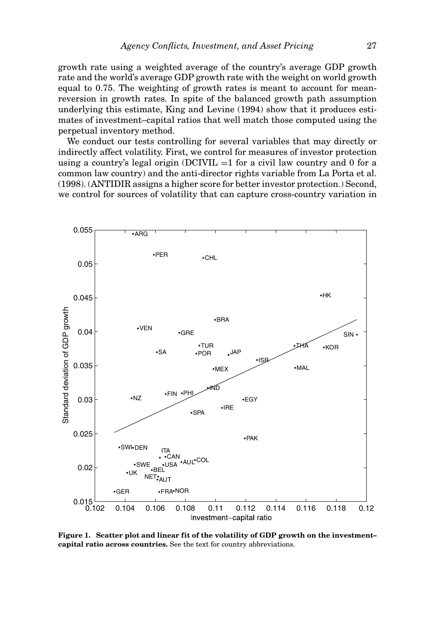growth rate using a weighted average of the country's average GDP growth rate and the world's average GDP growth rate with the weight on world growth equal to 0.75. The weighting of growth rates is meant to account for meanreversion in growth rates. In spite of the balanced growth path assumption underlying this estimate, King and Levine (1994) show that it produces estimates of investment–capital ratios that well match those computed using the perpetual inventory method.

We conduct our tests controlling for several variables that may directly or indirectly affect volatility. First, we control for measures of investor protection using a country's legal origin (DCIVIL  $=1$  for a civil law country and 0 for a common law country) and the anti-director rights variable from La Porta et al. (1998). (ANTIDIR assigns a higher score for better investor protection.) Second, we control for sources of volatility that can capture cross-country variation in



**Figure 1. Scatter plot and linear fit of the volatility of GDP growth on the investment– capital ratio across countries.** See the text for country abbreviations.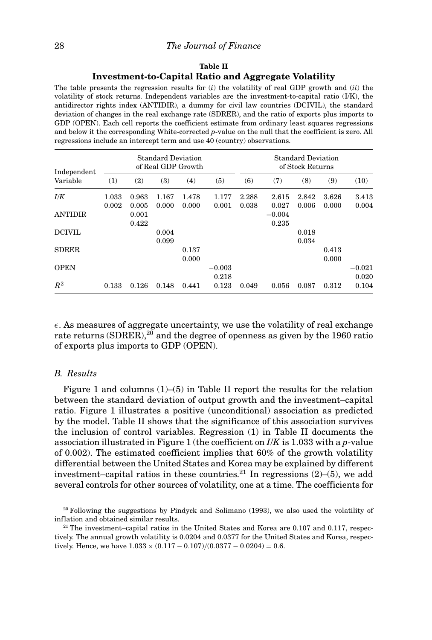#### **Table II Investment-to-Capital Ratio and Aggregate Volatility**

The table presents the regression results for (*i*) the volatility of real GDP growth and (*ii*) the volatility of stock returns. Independent variables are the investment-to-capital ratio (I/K), the antidirector rights index (ANTIDIR), a dummy for civil law countries (DCIVIL), the standard deviation of changes in the real exchange rate (SDRER), and the ratio of exports plus imports to GDP (OPEN). Each cell reports the coefficient estimate from ordinary least squares regressions and below it the corresponding White-corrected *p*-value on the null that the coefficient is zero. All regressions include an intercept term and use 40 (country) observations.

| Independent<br>Variable | <b>Standard Deviation</b><br>of Real GDP Growth |       |       |       | <b>Standard Deviation</b><br>of Stock Returns |       |          |       |       |          |
|-------------------------|-------------------------------------------------|-------|-------|-------|-----------------------------------------------|-------|----------|-------|-------|----------|
|                         | (1)                                             | (2)   | (3)   | (4)   | (5)                                           | (6)   | (7)      | (8)   | (9)   | (10)     |
| I/K                     | 1.033                                           | 0.963 | 1.167 | 1.478 | 1.177                                         | 2.288 | 2.615    | 2.842 | 3.626 | 3.413    |
|                         | 0.002                                           | 0.005 | 0.000 | 0.000 | 0.001                                         | 0.038 | 0.027    | 0.006 | 0.000 | 0.004    |
| <b>ANTIDIR</b>          |                                                 | 0.001 |       |       |                                               |       | $-0.004$ |       |       |          |
|                         |                                                 | 0.422 |       |       |                                               |       | 0.235    |       |       |          |
| <b>DCIVIL</b>           |                                                 |       | 0.004 |       |                                               |       |          | 0.018 |       |          |
|                         |                                                 |       | 0.099 |       |                                               |       |          | 0.034 |       |          |
| <b>SDRER</b>            |                                                 |       | 0.137 |       |                                               |       |          | 0.413 |       |          |
|                         |                                                 |       |       | 0.000 |                                               |       |          |       | 0.000 |          |
| <b>OPEN</b>             |                                                 |       |       |       | $-0.003$                                      |       |          |       |       | $-0.021$ |
|                         |                                                 |       |       |       | 0.218                                         |       |          |       |       | 0.020    |
| $\bar{R}^2$             | 0.133                                           | 0.126 | 0.148 | 0.441 | 0.123                                         | 0.049 | 0.056    | 0.087 | 0.312 | 0.104    |

 $\epsilon$ . As measures of aggregate uncertainty, we use the volatility of real exchange rate returns  $(SDREF),<sup>20</sup>$  and the degree of openness as given by the 1960 ratio of exports plus imports to GDP (OPEN).

### *B. Results*

Figure 1 and columns  $(1)$ – $(5)$  in Table II report the results for the relation between the standard deviation of output growth and the investment–capital ratio. Figure 1 illustrates a positive (unconditional) association as predicted by the model. Table II shows that the significance of this association survives the inclusion of control variables. Regression (1) in Table II documents the association illustrated in Figure 1 (the coefficient on *I*/*K* is 1.033 with a *p*-value of 0.002). The estimated coefficient implies that 60% of the growth volatility differential between the United States and Korea may be explained by different investment–capital ratios in these countries.<sup>21</sup> In regressions  $(2)$ – $(5)$ , we add several controls for other sources of volatility, one at a time. The coefficients for

 $20$  Following the suggestions by Pindyck and Solimano (1993), we also used the volatility of inflation and obtained similar results.

 $21$  The investment–capital ratios in the United States and Korea are 0.107 and 0.117, respectively. The annual growth volatility is 0.0204 and 0.0377 for the United States and Korea, respectively. Hence, we have  $1.033 \times (0.117 - 0.107)/(0.0377 - 0.0204) = 0.6$ .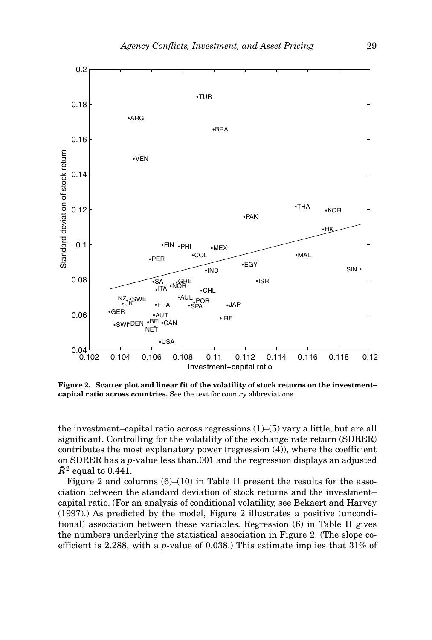

**Figure 2. Scatter plot and linear fit of the volatility of stock returns on the investment– capital ratio across countries.** See the text for country abbreviations.

the investment–capital ratio across regressions  $(1)$ – $(5)$  vary a little, but are all significant. Controlling for the volatility of the exchange rate return (SDRER) contributes the most explanatory power (regression  $(4)$ ), where the coefficient on SDRER has a *p*-value less than.001 and the regression displays an adjusted  $\bar{R}^2$  equal to 0.441.

Figure 2 and columns  $(6)$ – $(10)$  in Table II present the results for the association between the standard deviation of stock returns and the investment– capital ratio. (For an analysis of conditional volatility, see Bekaert and Harvey (1997).) As predicted by the model, Figure 2 illustrates a positive (unconditional) association between these variables. Regression (6) in Table II gives the numbers underlying the statistical association in Figure 2. (The slope coefficient is 2.288, with a *p*-value of 0.038.) This estimate implies that 31% of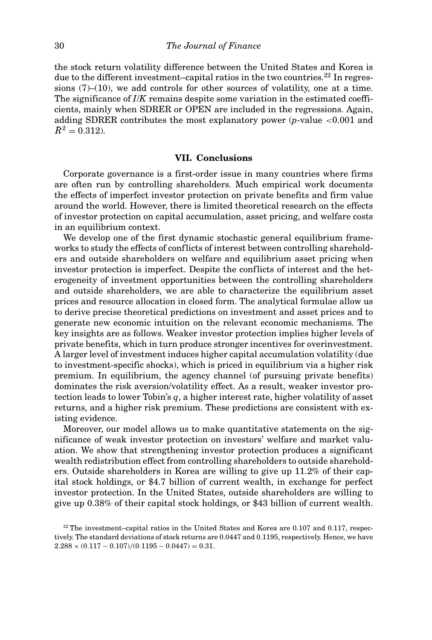the stock return volatility difference between the United States and Korea is due to the different investment–capital ratios in the two countries.<sup>22</sup> In regressions (7)–(10), we add controls for other sources of volatility, one at a time. The significance of *I*/*K* remains despite some variation in the estimated coefficients, mainly when SDRER or OPEN are included in the regressions. Again, adding SDRER contributes the most explanatory power (*p*-value <0.001 and  $\bar{R}^2 = 0.312$ .

#### **VII. Conclusions**

Corporate governance is a first-order issue in many countries where firms are often run by controlling shareholders. Much empirical work documents the effects of imperfect investor protection on private benefits and firm value around the world. However, there is limited theoretical research on the effects of investor protection on capital accumulation, asset pricing, and welfare costs in an equilibrium context.

We develop one of the first dynamic stochastic general equilibrium frameworks to study the effects of conflicts of interest between controlling shareholders and outside shareholders on welfare and equilibrium asset pricing when investor protection is imperfect. Despite the conflicts of interest and the heterogeneity of investment opportunities between the controlling shareholders and outside shareholders, we are able to characterize the equilibrium asset prices and resource allocation in closed form. The analytical formulae allow us to derive precise theoretical predictions on investment and asset prices and to generate new economic intuition on the relevant economic mechanisms. The key insights are as follows. Weaker investor protection implies higher levels of private benefits, which in turn produce stronger incentives for overinvestment. A larger level of investment induces higher capital accumulation volatility (due to investment-specific shocks), which is priced in equilibrium via a higher risk premium. In equilibrium, the agency channel (of pursuing private benefits) dominates the risk aversion/volatility effect. As a result, weaker investor protection leads to lower Tobin's *q*, a higher interest rate, higher volatility of asset returns, and a higher risk premium. These predictions are consistent with existing evidence.

Moreover, our model allows us to make quantitative statements on the significance of weak investor protection on investors' welfare and market valuation. We show that strengthening investor protection produces a significant wealth redistribution effect from controlling shareholders to outside shareholders. Outside shareholders in Korea are willing to give up 11.2% of their capital stock holdings, or \$4.7 billion of current wealth, in exchange for perfect investor protection. In the United States, outside shareholders are willing to give up 0.38% of their capital stock holdings, or \$43 billion of current wealth.

 $22$  The investment–capital ratios in the United States and Korea are 0.107 and 0.117, respectively. The standard deviations of stock returns are 0.0447 and 0.1195, respectively. Hence, we have  $2.288 \times (0.117 - 0.107)/(0.1195 - 0.0447) = 0.31.$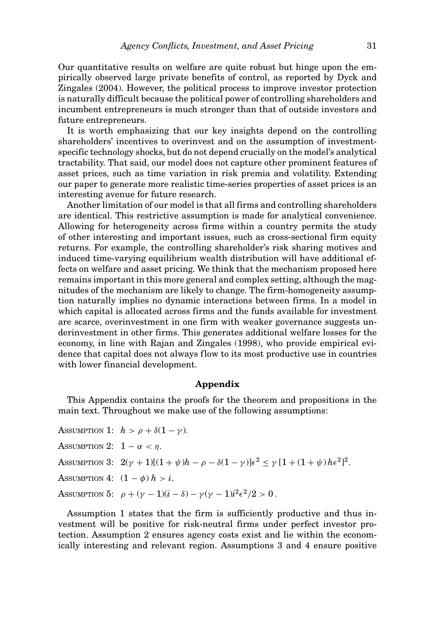Our quantitative results on welfare are quite robust but hinge upon the empirically observed large private benefits of control, as reported by Dyck and Zingales (2004). However, the political process to improve investor protection is naturally difficult because the political power of controlling shareholders and incumbent entrepreneurs is much stronger than that of outside investors and future entrepreneurs.

It is worth emphasizing that our key insights depend on the controlling shareholders' incentives to overinvest and on the assumption of investmentspecific technology shocks, but do not depend crucially on the model's analytical tractability. That said, our model does not capture other prominent features of asset prices, such as time variation in risk premia and volatility. Extending our paper to generate more realistic time-series properties of asset prices is an interesting avenue for future research.

Another limitation of our model is that all firms and controlling shareholders are identical. This restrictive assumption is made for analytical convenience. Allowing for heterogeneity across firms within a country permits the study of other interesting and important issues, such as cross-sectional firm equity returns. For example, the controlling shareholder's risk sharing motives and induced time-varying equilibrium wealth distribution will have additional effects on welfare and asset pricing. We think that the mechanism proposed here remains important in this more general and complex setting, although the magnitudes of the mechanism are likely to change. The firm-homogeneity assumption naturally implies no dynamic interactions between firms. In a model in which capital is allocated across firms and the funds available for investment are scarce, overinvestment in one firm with weaker governance suggests underinvestment in other firms. This generates additional welfare losses for the economy, in line with Rajan and Zingales (1998), who provide empirical evidence that capital does not always flow to its most productive use in countries with lower financial development.

#### **Appendix**

This Appendix contains the proofs for the theorem and propositions in the main text. Throughout we make use of the following assumptions:

ASSUMPTION 1:  $h > \rho + \delta(1 - \gamma)$ . ASSUMPTION 2:  $1 - \alpha < \eta$ . Assumption 3:  $2(\gamma + 1)[(1 + \psi)h - \rho - \delta(1 - \gamma)]\epsilon^2 \leq \gamma [1 + (1 + \psi)h\epsilon^2]^2$ . ASSUMPTION 4:  $(1 - \phi) h > i$ . ASSUMPTION 5:  $\rho + (\gamma - 1)(i - \delta) - \gamma(\gamma - 1)i^2 \epsilon^2/2 > 0$ .

Assumption 1 states that the firm is sufficiently productive and thus investment will be positive for risk-neutral firms under perfect investor protection. Assumption 2 ensures agency costs exist and lie within the economically interesting and relevant region. Assumptions 3 and 4 ensure positive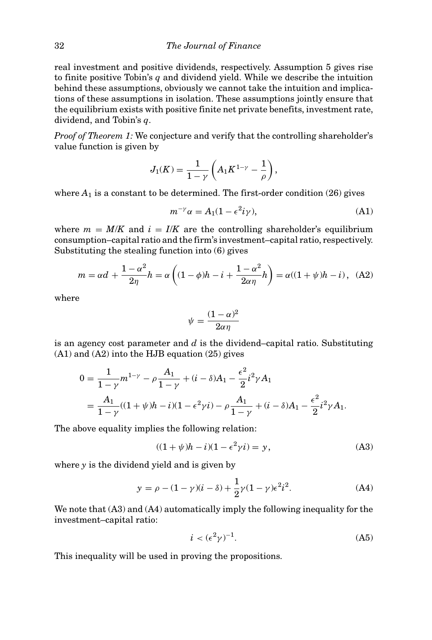real investment and positive dividends, respectively. Assumption 5 gives rise to finite positive Tobin's *q* and dividend yield. While we describe the intuition behind these assumptions, obviously we cannot take the intuition and implications of these assumptions in isolation. These assumptions jointly ensure that the equilibrium exists with positive finite net private benefits, investment rate, dividend, and Tobin's *q*.

*Proof of Theorem 1:* We conjecture and verify that the controlling shareholder's value function is given by

$$
J_1(K)=\frac{1}{1-\gamma}\left(A_1K^{1-\gamma}-\frac{1}{\rho}\right),
$$

where  $A_1$  is a constant to be determined. The first-order condition  $(26)$  gives

$$
m^{-\gamma}\alpha = A_1(1 - \epsilon^2 i\gamma), \tag{A1}
$$

where  $m = M/K$  and  $i = I/K$  are the controlling shareholder's equilibrium consumption–capital ratio and the firm's investment–capital ratio, respectively. Substituting the stealing function into (6) gives

$$
m = \alpha d + \frac{1 - \alpha^2}{2\eta}h = \alpha \left( (1 - \phi)h - i + \frac{1 - \alpha^2}{2\alpha\eta}h \right) = \alpha((1 + \psi)h - i), \quad (A2)
$$

where

$$
\psi = \frac{(1-\alpha)^2}{2\alpha\eta}
$$

is an agency cost parameter and *d* is the dividend–capital ratio. Substituting (A1) and (A2) into the HJB equation (25) gives

$$
0 = \frac{1}{1 - \gamma} m^{1 - \gamma} - \rho \frac{A_1}{1 - \gamma} + (i - \delta) A_1 - \frac{\epsilon^2}{2} i^2 \gamma A_1
$$
  
= 
$$
\frac{A_1}{1 - \gamma} ((1 + \psi)h - i)(1 - \epsilon^2 \gamma i) - \rho \frac{A_1}{1 - \gamma} + (i - \delta)A_1 - \frac{\epsilon^2}{2} i^2 \gamma A_1.
$$

The above equality implies the following relation:

$$
((1 + \psi)h - i)(1 - \epsilon^2 \gamma i) = y,
$$
 (A3)

where *y* is the dividend yield and is given by

$$
y = \rho - (1 - \gamma)(i - \delta) + \frac{1}{2}\gamma(1 - \gamma)\epsilon^2 i^2.
$$
 (A4)

We note that (A3) and (A4) automatically imply the following inequality for the investment–capital ratio:

$$
i < (\epsilon^2 \gamma)^{-1}.\tag{A5}
$$

This inequality will be used in proving the propositions.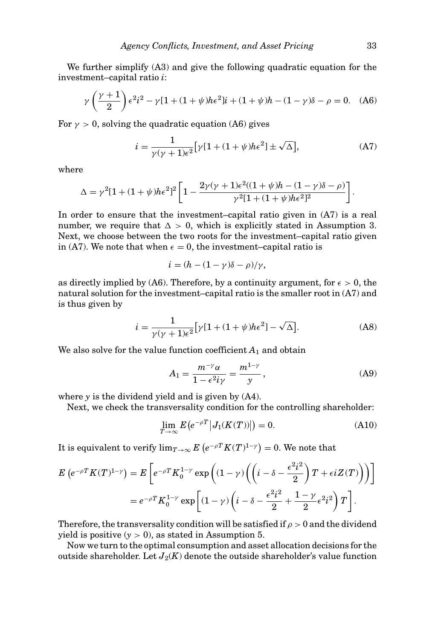We further simplify (A3) and give the following quadratic equation for the investment–capital ratio *i*:

$$
\gamma \left( \frac{\gamma + 1}{2} \right) \epsilon^2 i^2 - \gamma [1 + (1 + \psi)h \epsilon^2] i + (1 + \psi)h - (1 - \gamma)\delta - \rho = 0. \quad (A6)
$$

For  $\gamma > 0$ , solving the quadratic equation (A6) gives

$$
i = \frac{1}{\gamma(\gamma + 1)\epsilon^2} \left[ \gamma [1 + (1 + \psi)h\epsilon^2] \pm \sqrt{\Delta} \right],\tag{A7}
$$

where

$$
\Delta = \gamma^2 [1 + (1 + \psi)h\epsilon^2]^2 \left[ 1 - \frac{2\gamma(\gamma + 1)\epsilon^2((1 + \psi)h - (1 - \gamma)\delta - \rho)}{\gamma^2 [1 + (1 + \psi)h\epsilon^2]^2} \right].
$$

In order to ensure that the investment–capital ratio given in (A7) is a real number, we require that  $\Delta > 0$ , which is explicitly stated in Assumption 3. Next, we choose between the two roots for the investment–capital ratio given in (A7). We note that when  $\epsilon = 0$ , the investment–capital ratio is

$$
i = (h - (1 - \gamma)\delta - \rho)/\gamma,
$$

as directly implied by (A6). Therefore, by a continuity argument, for  $\epsilon > 0$ , the natural solution for the investment–capital ratio is the smaller root in (A7) and is thus given by

$$
i = \frac{1}{\gamma(\gamma + 1)\epsilon^2} \left[ \gamma [1 + (1 + \psi)h\epsilon^2] - \sqrt{\Delta} \right].
$$
 (A8)

We also solve for the value function coefficient  $A_1$  and obtain

$$
A_1 = \frac{m^{-\gamma}\alpha}{1 - \epsilon^2 i \gamma} = \frac{m^{1-\gamma}}{y},
$$
 (A9)

where *y* is the dividend yield and is given by  $(A4)$ .

Next, we check the transversality condition for the controlling shareholder:

$$
\lim_{T \to \infty} E\left(e^{-\rho T} |J_1(K(T))|\right) = 0. \tag{A10}
$$

It is equivalent to verify  $\lim_{T\to\infty} E\left( e^{-\rho T} K(T)^{1-\gamma}\right) = 0.$  We note that

$$
E\left(e^{-\rho T}K(T)^{1-\gamma}\right) = E\left[e^{-\rho T}K_0^{1-\gamma}\exp\left((1-\gamma)\left(\left(i-\delta-\frac{\epsilon^2i^2}{2}\right)T+\epsilon i Z(T)\right)\right)\right]
$$

$$
= e^{-\rho T}K_0^{1-\gamma}\exp\left[(1-\gamma)\left(i-\delta-\frac{\epsilon^2i^2}{2}+\frac{1-\gamma}{2}\epsilon^2i^2\right)T\right].
$$

Therefore, the transversality condition will be satisfied if  $\rho > 0$  and the dividend yield is positive  $(y > 0)$ , as stated in Assumption 5.

Now we turn to the optimal consumption and asset allocation decisions for the outside shareholder. Let  $J_2(K)$  denote the outside shareholder's value function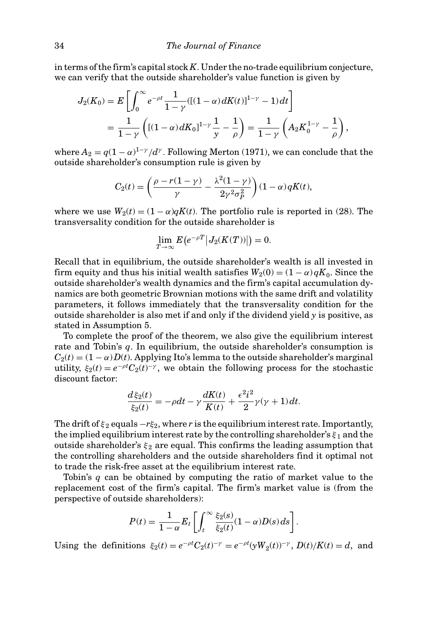in terms of the firm's capital stock *K*. Under the no-trade equilibrium conjecture, we can verify that the outside shareholder's value function is given by

$$
J_2(K_0) = E\left[\int_0^\infty e^{-\rho t} \frac{1}{1-\gamma} ([(1-\alpha)dK(t)]^{1-\gamma} - 1) dt\right]
$$
  
=  $\frac{1}{1-\gamma} \left( [(1-\alpha)dK_0]^{1-\gamma} \frac{1}{\gamma} - \frac{1}{\rho} \right) = \frac{1}{1-\gamma} \left( A_2 K_0^{1-\gamma} - \frac{1}{\rho} \right),$ 

where  $A_2 = q(1 - \alpha)^{1 - \gamma}/d^{\gamma}$ . Following Merton (1971), we can conclude that the outside shareholder's consumption rule is given by

$$
C_2(t) = \left(\frac{\rho - r(1-\gamma)}{\gamma} - \frac{\lambda^2(1-\gamma)}{2\gamma^2\sigma_P^2}\right)(1-\alpha)qK(t),
$$

where we use  $W_2(t) = (1 - \alpha) qK(t)$ . The portfolio rule is reported in (28). The transversality condition for the outside shareholder is

$$
\lim_{T \to \infty} E\big(e^{-\rho T} |J_2(K(T))|\big) = 0.
$$

Recall that in equilibrium, the outside shareholder's wealth is all invested in firm equity and thus his initial wealth satisfies  $W_2(0) = (1 - \alpha) qK_0$ . Since the outside shareholder's wealth dynamics and the firm's capital accumulation dynamics are both geometric Brownian motions with the same drift and volatility parameters, it follows immediately that the transversality condition for the outside shareholder is also met if and only if the dividend yield *y* is positive, as stated in Assumption 5.

To complete the proof of the theorem, we also give the equilibrium interest rate and Tobin's *q*. In equilibrium, the outside shareholder's consumption is  $C_2(t) = (1 - \alpha)D(t)$ . Applying Ito's lemma to the outside shareholder's marginal utility,  $\xi_2(t) = e^{-\rho t} C_2(t)^{-\gamma}$ , we obtain the following process for the stochastic discount factor:

$$
\frac{d\xi_2(t)}{\xi_2(t)} = -\rho dt - \gamma \frac{dK(t)}{K(t)} + \frac{\epsilon^2 i^2}{2} \gamma(\gamma + 1) dt.
$$

The drift of  $\xi_2$  equals  $-r\xi_2$ , where *r* is the equilibrium interest rate. Importantly, the implied equilibrium interest rate by the controlling shareholder's  $\xi_1$  and the outside shareholder's  $\xi_2$  are equal. This confirms the leading assumption that the controlling shareholders and the outside shareholders find it optimal not to trade the risk-free asset at the equilibrium interest rate.

Tobin's *q* can be obtained by computing the ratio of market value to the replacement cost of the firm's capital. The firm's market value is (from the perspective of outside shareholders):

$$
P(t) = \frac{1}{1-\alpha} E_t \left[ \int_t^{\infty} \frac{\xi_2(s)}{\xi_2(t)} (1-\alpha) D(s) ds \right].
$$

Using the definitions  $\xi_2(t) = e^{-\rho t} C_2(t)^{-\gamma} = e^{-\rho t} (\gamma W_2(t))^{-\gamma}$ ,  $D(t)/K(t) = d$ , and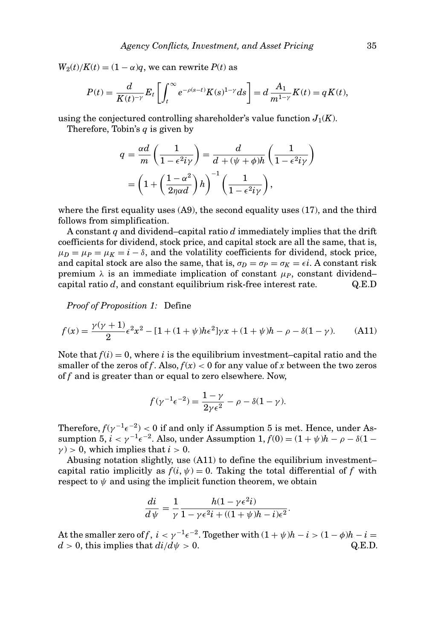$W_2(t)/K(t) = (1 - \alpha)q$ , we can rewrite  $P(t)$  as

$$
P(t) = \frac{d}{K(t)^{-\gamma}} E_t \left[ \int_t^{\infty} e^{-\rho(s-t)} K(s)^{1-\gamma} ds \right] = d \frac{A_1}{m^{1-\gamma}} K(t) = qK(t),
$$

using the conjectured controlling shareholder's value function  $J_1(K)$ .

Therefore, Tobin's *q* is given by

$$
q = \frac{\alpha d}{m} \left( \frac{1}{1 - \epsilon^2 i \gamma} \right) = \frac{d}{d + (\psi + \phi)h} \left( \frac{1}{1 - \epsilon^2 i \gamma} \right)
$$

$$
= \left( 1 + \left( \frac{1 - \alpha^2}{2 \eta \alpha d} \right) h \right)^{-1} \left( \frac{1}{1 - \epsilon^2 i \gamma} \right),
$$

where the first equality uses (A9), the second equality uses (17), and the third follows from simplification.

A constant *q* and dividend–capital ratio *d* immediately implies that the drift coefficients for dividend, stock price, and capital stock are all the same, that is,  $\mu_D = \mu_F = \mu_K = i - \delta$ , and the volatility coefficients for dividend, stock price, and capital stock are also the same, that is,  $\sigma_D = \sigma_P = \sigma_K = \epsilon i$ . A constant risk premium  $\lambda$  is an immediate implication of constant  $\mu$ <sub>*P*</sub>, constant dividend– capital ratio *d*, and constant equilibrium risk-free interest rate. Q.E.D

*Proof of Proposition 1:* Define

$$
f(x) = \frac{\gamma(\gamma + 1)}{2} \epsilon^2 x^2 - [1 + (1 + \psi)h\epsilon^2] \gamma x + (1 + \psi)h - \rho - \delta(1 - \gamma).
$$
 (A11)

Note that  $f(i) = 0$ , where *i* is the equilibrium investment–capital ratio and the smaller of the zeros of *f*. Also,  $f(x) < 0$  for any value of *x* between the two zeros of *f* and is greater than or equal to zero elsewhere. Now,

$$
f(\gamma^{-1}\epsilon^{-2}) = \frac{1-\gamma}{2\gamma\epsilon^2} - \rho - \delta(1-\gamma).
$$

Therefore,  $f(\gamma^{-1} \epsilon^{-2})$  < 0 if and only if Assumption 5 is met. Hence, under Assumption 5,  $i < \gamma^{-1} \epsilon^{-2}$ . Also, under Assumption 1,  $f(0) = (1 + \psi)h - \rho - \delta(1 - \psi)h$  $y$  > 0, which implies that *i* > 0.

Abusing notation slightly, use (A11) to define the equilibrium investment– capital ratio implicitly as  $f(i, \psi) = 0$ . Taking the total differential of f with respect to  $\psi$  and using the implicit function theorem, we obtain

$$
\frac{di}{d\psi} = \frac{1}{\gamma} \frac{h(1 - \gamma \epsilon^2 i)}{1 - \gamma \epsilon^2 i + ((1 + \psi)h - i)\epsilon^2}.
$$

At the smaller zero of *f*,  $i < \gamma^{-1} \epsilon^{-2}$ . Together with  $(1 + \psi)h - i > (1 - \phi)h - i =$  $d > 0$ , this implies that  $di/d\psi > 0$ . Q.E.D.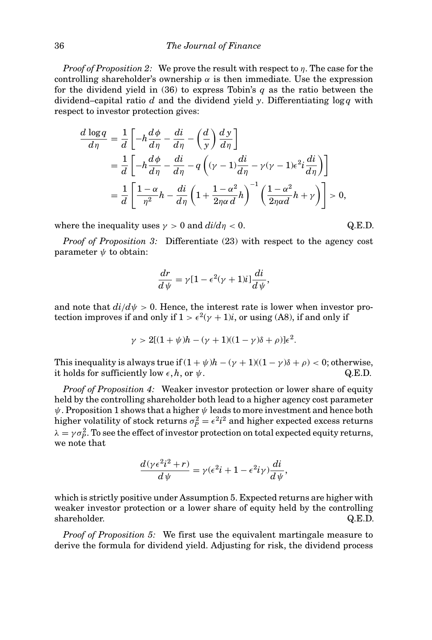#### 36 *The Journal of Finance*

*Proof of Proposition 2:* We prove the result with respect to η. The case for the controlling shareholder's ownership  $\alpha$  is then immediate. Use the expression for the dividend yield in (36) to express Tobin's *q* as the ratio between the dividend–capital ratio *d* and the dividend yield *y*. Differentiating  $\log q$  with respect to investor protection gives:

$$
\frac{d \log q}{d \eta} = \frac{1}{d} \left[ -h \frac{d \phi}{d \eta} - \frac{di}{d \eta} - \left( \frac{d}{y} \right) \frac{d y}{d \eta} \right]
$$
  
\n
$$
= \frac{1}{d} \left[ -h \frac{d \phi}{d \eta} - \frac{di}{d \eta} - q \left( (\gamma - 1) \frac{di}{d \eta} - \gamma (\gamma - 1) \epsilon^2 i \frac{di}{d \eta} \right) \right]
$$
  
\n
$$
= \frac{1}{d} \left[ \frac{1 - \alpha}{\eta^2} h - \frac{di}{d \eta} \left( 1 + \frac{1 - \alpha^2}{2 \eta \alpha d} h \right)^{-1} \left( \frac{1 - \alpha^2}{2 \eta \alpha d} h + \gamma \right) \right] > 0,
$$

where the inequality uses  $\gamma > 0$  and  $di/d\eta < 0$ . Q.E.D.

*Proof of Proposition 3:* Differentiate (23) with respect to the agency cost parameter  $\psi$  to obtain:

$$
\frac{dr}{d\psi} = \gamma [1 - \epsilon^2(\gamma + 1)i] \frac{di}{d\psi},
$$

and note that  $di/d\psi > 0$ . Hence, the interest rate is lower when investor protection improves if and only if  $1 > \epsilon^2(\gamma + 1)i$ , or using (A8), if and only if

$$
\gamma > 2[(1 + \psi)h - (\gamma + 1)((1 - \gamma)\delta + \rho)]\epsilon^{2}.
$$

This inequality is always true if  $(1 + \psi)h - (\gamma + 1)((1 - \gamma)\delta + \rho) < 0$ ; otherwise, it holds for sufficiently low  $\epsilon, h$ , or  $\psi$ . Q.E.D.

*Proof of Proposition 4:* Weaker investor protection or lower share of equity held by the controlling shareholder both lead to a higher agency cost parameter  $\psi$ . Proposition 1 shows that a higher  $\psi$  leads to more investment and hence both higher volatility of stock returns  $\sigma_p^2 = \epsilon^2 i^2$  and higher expected excess returns  $\lambda = \gamma \sigma_P^2$ . To see the effect of investor protection on total expected equity returns, we note that

$$
\frac{d(\gamma\epsilon^2i^2+r)}{d\psi}=\gamma(\epsilon^2i+1-\epsilon^2i\gamma)\frac{di}{d\psi},
$$

which is strictly positive under Assumption 5. Expected returns are higher with weaker investor protection or a lower share of equity held by the controlling shareholder. Q.E.D.

*Proof of Proposition 5:* We first use the equivalent martingale measure to derive the formula for dividend yield. Adjusting for risk, the dividend process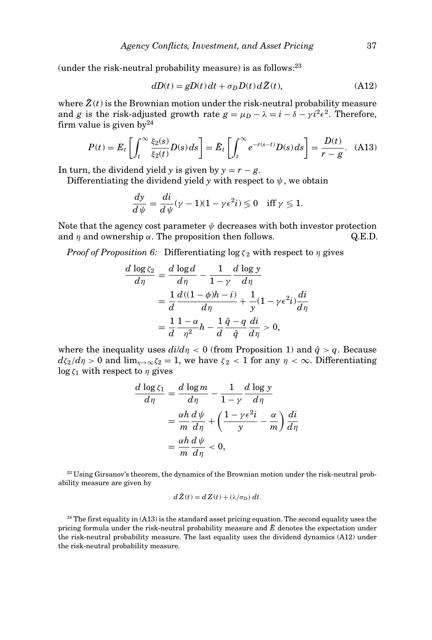(under the risk-neutral probability measure) is as follows:  $23$ 

$$
dD(t) = gD(t)dt + \sigma_D D(t) d\tilde{Z}(t),
$$
\n(A12)

where  $\tilde{Z}(t)$  is the Brownian motion under the risk-neutral probability measure and *g* is the risk-adjusted growth rate  $g = \mu_D - \lambda = i - \delta - \gamma i^2 \epsilon^2$ . Therefore, firm value is given by  $2^4$ 

$$
P(t) = E_t \left[ \int_t^{\infty} \frac{\xi_2(s)}{\xi_2(t)} D(s) ds \right] = \tilde{E}_t \left[ \int_t^{\infty} e^{-r(s-t)} D(s) ds \right] = \frac{D(t)}{r - g}.
$$
 (A13)

In turn, the dividend yield *y* is given by  $y = r - g$ .

Differentiating the dividend yield  $\gamma$  with respect to  $\psi$ , we obtain

$$
\frac{dy}{d\psi} = \frac{di}{d\psi}(\gamma - 1)(1 - \gamma \epsilon^2 i) \lessgtr 0 \quad \text{iff } \gamma \lessgtr 1.
$$

Note that the agency cost parameter  $\psi$  decreases with both investor protection and  $\eta$  and ownership  $\alpha$ . The proposition then follows.  $Q.E.D.$ 

*Proof of Proposition 6:* Differentiating  $\log \zeta_2$  with respect to  $\eta$  gives

$$
\frac{d \log \zeta_2}{d \eta} = \frac{d \log d}{d \eta} - \frac{1}{1 - \gamma} \frac{d \log y}{d \eta}
$$

$$
= \frac{1}{d} \frac{d((1 - \phi)h - i)}{d \eta} + \frac{1}{y}(1 - \gamma \epsilon^2 i) \frac{di}{d \eta}
$$

$$
= \frac{1}{d} \frac{1 - \alpha}{\eta^2} h - \frac{1}{d} \frac{\hat{q} - q}{\hat{q}} \frac{di}{d \eta} > 0,
$$

where the inequality uses  $di/d\eta < 0$  (from Proposition 1) and  $\hat{q} > q$ . Because  $d\zeta_2/d\eta > 0$  and  $\lim_{n\to\infty}\zeta_2 = 1$ , we have  $\zeta_2 < 1$  for any  $\eta < \infty$ . Differentiating  $\log \zeta_1$  with respect to  $\eta$  gives

$$
\frac{d \log \zeta_1}{d \eta} = \frac{d \log m}{d \eta} - \frac{1}{1 - \gamma} \frac{d \log y}{d \eta}
$$

$$
= \frac{\alpha h}{m} \frac{d \psi}{d \eta} + \left(\frac{1 - \gamma \epsilon^2 i}{y} - \frac{\alpha}{m}\right) \frac{di}{d \eta}
$$

$$
= \frac{\alpha h}{m} \frac{d \psi}{d \eta} < 0,
$$

<sup>23</sup> Using Girsanov's theorem, the dynamics of the Brownian motion under the risk-neutral probability measure are given by

$$
d\tilde{Z}(t) = dZ(t) + (\lambda/\sigma_D) dt.
$$

 $24$  The first equality in (A13) is the standard asset pricing equation. The second equality uses the pricing formula under the risk-neutral probability measure and  $\bar{E}$  denotes the expectation under the risk-neutral probability measure. The last equality uses the dividend dynamics (A12) under the risk-neutral probability measure.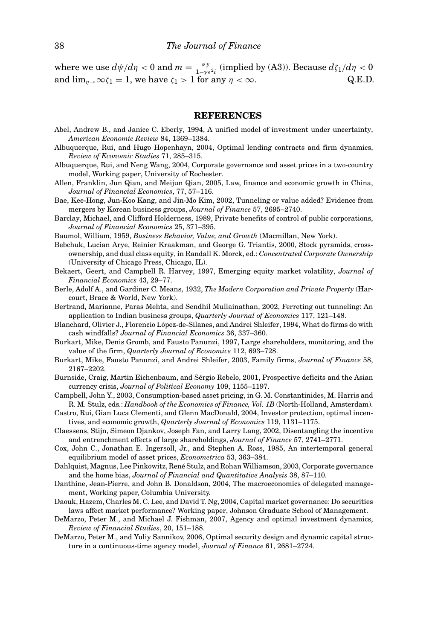where we use  $d\psi/d\eta < 0$  and  $m = \frac{\alpha y}{1 - y \epsilon^2 i}$  (implied by (A3)). Because  $d\zeta_1/d\eta < 0$ and  $\lim_{\eta \to \infty} \zeta_1 = 1$ , we have  $\zeta_1 > 1$  for any  $\eta < \infty$ . Q.E.D.

#### **REFERENCES**

- Abel, Andrew B., and Janice C. Eberly, 1994, A unified model of investment under uncertainty, *American Economic Review* 84, 1369–1384.
- Albuquerque, Rui, and Hugo Hopenhayn, 2004, Optimal lending contracts and firm dynamics, *Review of Economic Studies* 71, 285–315.
- Albuquerque, Rui, and Neng Wang, 2004, Corporate governance and asset prices in a two-country model, Working paper, University of Rochester.
- Allen, Franklin, Jun Qian, and Meijun Qian, 2005, Law, finance and economic growth in China, *Journal of Financial Economics*, 77, 57–116.
- Bae, Kee-Hong, Jun-Koo Kang, and Jin-Mo Kim, 2002, Tunneling or value added? Evidence from mergers by Korean business groups, *Journal of Finance* 57, 2695–2740.
- Barclay, Michael, and Clifford Holderness, 1989, Private benefits of control of public corporations, *Journal of Financial Economics* 25, 371–395.
- Baumol, William, 1959, *Business Behavior, Value, and Growth* (Macmillan, New York).
- Bebchuk, Lucian Arye, Reinier Kraakman, and George G. Triantis, 2000, Stock pyramids, crossownership, and dual class equity, in Randall K. Morck, ed.: *Concentrated Corporate Ownership* (University of Chicago Press, Chicago, IL).
- Bekaert, Geert, and Campbell R. Harvey, 1997, Emerging equity market volatility, *Journal of Financial Economics* 43, 29–77.
- Berle, Adolf A., and Gardiner C. Means, 1932, *The Modern Corporation and Private Property* (Harcourt, Brace & World, New York).
- Bertrand, Marianne, Paras Mehta, and Sendhil Mullainathan, 2002, Ferreting out tunneling: An application to Indian business groups, *Quarterly Journal of Economics* 117, 121–148.
- Blanchard, Olivier J., Florencio Lopez-de-Silanes, and Andrei Shleifer, 1994, What do firms do with ´ cash windfalls? *Journal of Financial Economics* 36, 337–360.
- Burkart, Mike, Denis Gromb, and Fausto Panunzi, 1997, Large shareholders, monitoring, and the value of the firm, *Quarterly Journal of Economics* 112, 693–728.
- Burkart, Mike, Fausto Panunzi, and Andrei Shleifer, 2003, Family firms, *Journal of Finance* 58, 2167–2202.
- Burnside, Craig, Martin Eichenbaum, and Sérgio Rebelo, 2001, Prospective deficits and the Asian currency crisis, *Journal of Political Economy* 109, 1155–1197.
- Campbell, John Y., 2003, Consumption-based asset pricing, in G. M. Constantinides, M. Harris and R. M. Stulz, eds.: *Handbook of the Economics of Finance, Vol. 1B* (North-Holland, Amsterdam).
- Castro, Rui, Gian Luca Clementi, and Glenn MacDonald, 2004, Investor protection, optimal incentives, and economic growth, *Quarterly Journal of Economics* 119, 1131–1175.
- Claessens, Stijn, Simeon Djankov, Joseph Fan, and Larry Lang, 2002, Disentangling the incentive and entrenchment effects of large shareholdings, *Journal of Finance* 57, 2741–2771.
- Cox, John C., Jonathan E. Ingersoll, Jr., and Stephen A. Ross, 1985, An intertemporal general equilibrium model of asset prices, *Econometrica* 53, 363–384.
- Dahlquist, Magnus, Lee Pinkowitz, René Stulz, and Rohan Williamson, 2003, Corporate governance and the home bias, *Journal of Financial and Quantitative Analysis* 38, 87–110.
- Danthine, Jean-Pierre, and John B. Donaldson, 2004, The macroeconomics of delegated management, Working paper, Columbia University.
- Daouk, Hazem, Charles M. C. Lee, and David T. Ng, 2004, Capital market governance: Do securities laws affect market performance? Working paper, Johnson Graduate School of Management.
- DeMarzo, Peter M., and Michael J. Fishman, 2007, Agency and optimal investment dynamics, *Review of Financial Studies*, 20, 151–188.
- DeMarzo, Peter M., and Yuliy Sannikov, 2006, Optimal security design and dynamic capital structure in a continuous-time agency model, *Journal of Finance* 61, 2681–2724.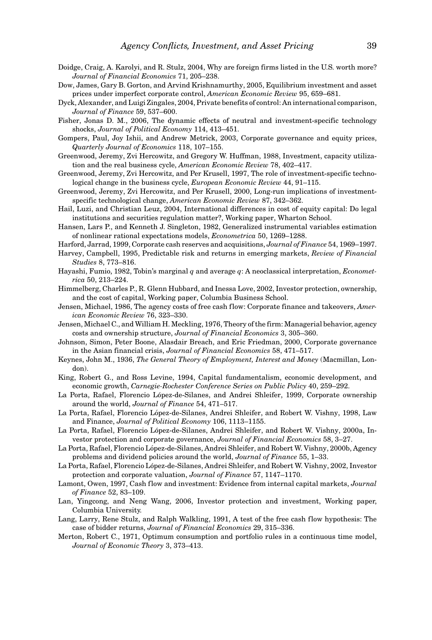- Doidge, Craig, A. Karolyi, and R. Stulz, 2004, Why are foreign firms listed in the U.S. worth more? *Journal of Financial Economics* 71, 205–238.
- Dow, James, Gary B. Gorton, and Arvind Krishnamurthy, 2005, Equilibrium investment and asset prices under imperfect corporate control, *American Economic Review* 95, 659–681.
- Dyck, Alexander, and Luigi Zingales, 2004, Private benefits of control: An international comparison, *Journal of Finance* 59, 537–600.
- Fisher, Jonas D. M., 2006, The dynamic effects of neutral and investment-specific technology shocks, *Journal of Political Economy* 114, 413–451.
- Gompers, Paul, Joy Ishii, and Andrew Metrick, 2003, Corporate governance and equity prices, *Quarterly Journal of Economics* 118, 107–155.
- Greenwood, Jeremy, Zvi Hercowitz, and Gregory W. Huffman, 1988, Investment, capacity utilization and the real business cycle, *American Economic Review* 78, 402–417.
- Greenwood, Jeremy, Zvi Hercowitz, and Per Krusell, 1997, The role of investment-specific technological change in the business cycle, *European Economic Review* 44, 91–115.
- Greenwood, Jeremy, Zvi Hercowitz, and Per Krusell, 2000, Long-run implications of investmentspecific technological change, *American Economic Review* 87, 342–362.
- Hail, Luzi, and Christian Leuz, 2004, International differences in cost of equity capital: Do legal institutions and securities regulation matter?, Working paper, Wharton School.
- Hansen, Lars P., and Kenneth J. Singleton, 1982, Generalized instrumental variables estimation of nonlinear rational expectations models, *Econometrica* 50, 1269–1288.
- Harford, Jarrad, 1999, Corporate cash reserves and acquisitions, *Journal of Finance* 54, 1969–1997.
- Harvey, Campbell, 1995, Predictable risk and returns in emerging markets, *Review of Financial Studies* 8, 773–816.
- Hayashi, Fumio, 1982, Tobin's marginal *q* and average *q*: A neoclassical interpretation, *Econometrica* 50, 213–224.
- Himmelberg, Charles P., R. Glenn Hubbard, and Inessa Love, 2002, Investor protection, ownership, and the cost of capital, Working paper, Columbia Business School.
- Jensen, Michael, 1986, The agency costs of free cash flow: Corporate finance and takeovers, *American Economic Review* 76, 323–330.
- Jensen, Michael C., and William H. Meckling, 1976, Theory of the firm: Managerial behavior, agency costs and ownership structure, *Journal of Financial Economics* 3, 305–360.
- Johnson, Simon, Peter Boone, Alasdair Breach, and Eric Friedman, 2000, Corporate governance in the Asian financial crisis, *Journal of Financial Economics* 58, 471–517.
- Keynes, John M., 1936, *The General Theory of Employment, Interest and Money* (Macmillan, London).
- King, Robert G., and Ross Levine, 1994, Capital fundamentalism, economic development, and economic growth, *Carnegie-Rochester Conference Series on Public Policy* 40, 259–292.
- La Porta, Rafael, Florencio López-de-Silanes, and Andrei Shleifer, 1999, Corporate ownership around the world, *Journal of Finance* 54, 471–517.
- La Porta, Rafael, Florencio Lopez-de-Silanes, Andrei Shleifer, and Robert W. Vishny, 1998, Law ´ and Finance, *Journal of Political Economy* 106, 1113–1155.
- La Porta, Rafael, Florencio López-de-Silanes, Andrei Shleifer, and Robert W. Vishny, 2000a, Investor protection and corporate governance, *Journal of Financial Economics* 58, 3–27.
- La Porta, Rafael, Florencio Lopez-de-Silanes, Andrei Shleifer, and Robert W. Vishny, 2000b, Agency ´ problems and dividend policies around the world, *Journal of Finance* 55, 1–33.
- La Porta, Rafael, Florencio Lopez-de-Silanes, Andrei Shleifer, and Robert W. Vishny, 2002, Investor ´ protection and corporate valuation, *Journal of Finance* 57, 1147–1170.
- Lamont, Owen, 1997, Cash flow and investment: Evidence from internal capital markets, *Journal of Finance* 52, 83–109.
- Lan, Yingcong, and Neng Wang, 2006, Investor protection and investment, Working paper, Columbia University.
- Lang, Larry, Rene Stulz, and Ralph Walkling, 1991, A test of the free cash flow hypothesis: The case of bidder returns, *Journal of Financial Economics* 29, 315–336.
- Merton, Robert C., 1971, Optimum consumption and portfolio rules in a continuous time model, *Journal of Economic Theory* 3, 373–413.